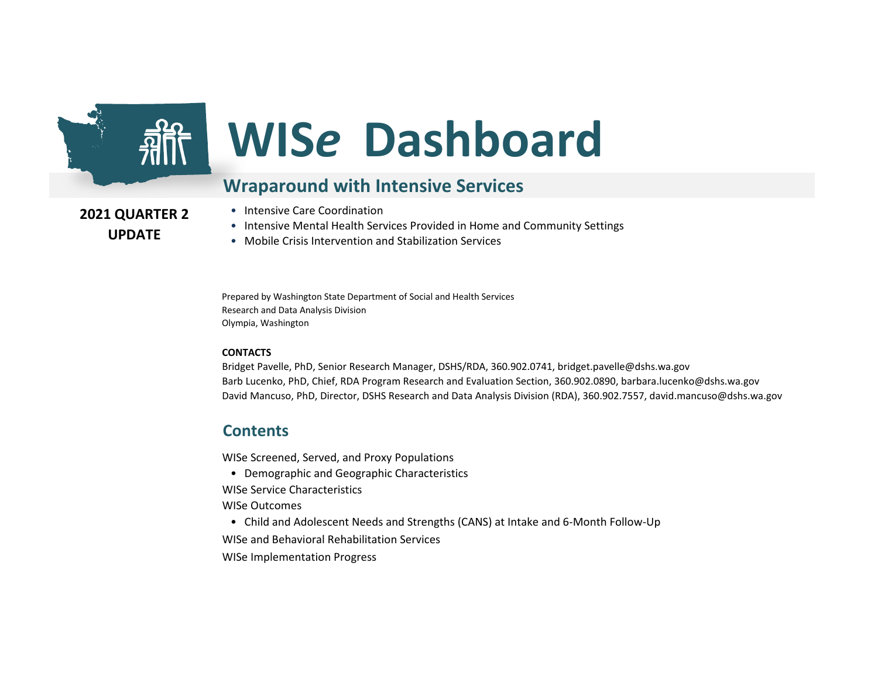

# **WIS***e* **Dashboard**

#### **Wraparound with Intensive Services**

**2021 QUARTER 2 UPDATE**

- Intensive Care Coordination
- Intensive Mental Health Services Provided in Home and Community Settings
- Mobile Crisis Intervention and Stabilization Services

Prepared by Washington State Department of Social and Health Services Research and Data Analysis Division Olympia, Washington

#### **CONTACTS**

Bridget Pavelle, PhD, Senior Research Manager, DSHS/RDA, 360.902.0741, bridget.pavelle@dshs.wa.gov Barb Lucenko, PhD, Chief, RDA Program Research and Evaluation Section, 360.902.0890, barbara.lucenko@dshs.wa.gov David Mancuso, PhD, Director, DSHS Research and Data Analysis Division (RDA), 360.902.7557, david.mancuso@dshs.wa.gov

#### **Contents**

WISe Screened, Served, and Proxy Populations

- Demographic and Geographic Characteristics
- WISe Service Characteristics

WISe Outcomes

• Child and Adolescent Needs and Strengths (CANS) at Intake and 6-Month Follow-Up

WISe and Behavioral Rehabilitation Services

WISe Implementation Progress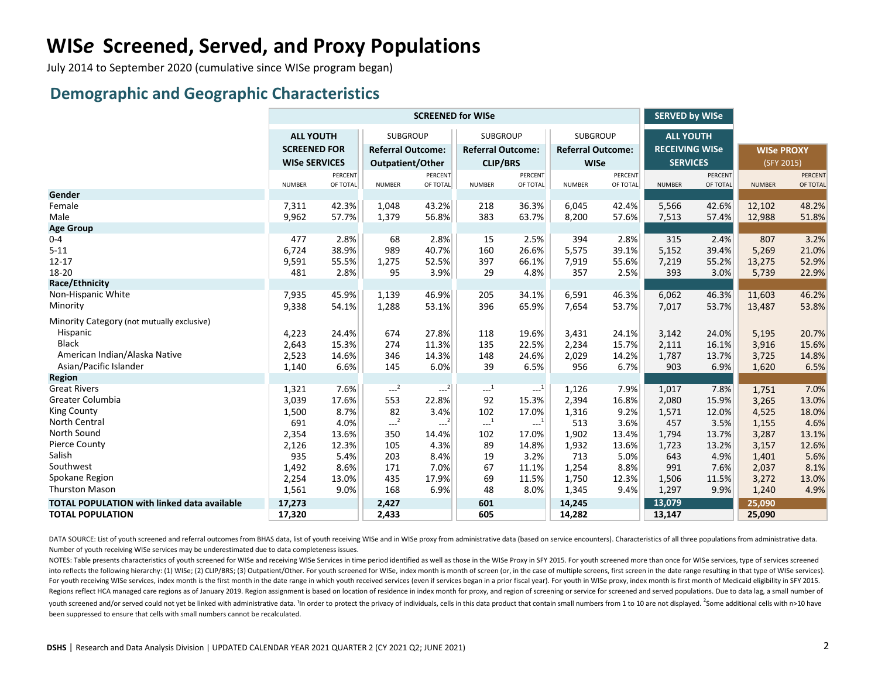# **WIS***e* **Screened, Served, and Proxy Populations**

July 2014 to September 2020 (cumulative since WISe program began)

#### **Demographic and Geographic Characteristics**

|                                                    | <b>SCREENED for WISe</b> |          |                          |                |                          |                |                          |          | <b>SERVED by WISe</b> |          |                   |                |
|----------------------------------------------------|--------------------------|----------|--------------------------|----------------|--------------------------|----------------|--------------------------|----------|-----------------------|----------|-------------------|----------------|
|                                                    | <b>ALL YOUTH</b>         |          | <b>SUBGROUP</b>          |                | <b>SUBGROUP</b>          |                | <b>SUBGROUP</b>          |          | <b>ALL YOUTH</b>      |          |                   |                |
|                                                    | <b>SCREENED FOR</b>      |          | <b>Referral Outcome:</b> |                | <b>Referral Outcome:</b> |                | <b>Referral Outcome:</b> |          | <b>RECEIVING WISe</b> |          | <b>WISe PROXY</b> |                |
|                                                    | <b>WISe SERVICES</b>     |          | Outpatient/Other         |                | <b>CLIP/BRS</b>          |                | <b>WISe</b>              |          | <b>SERVICES</b>       |          | (SFY 2015)        |                |
|                                                    |                          | PERCENT  |                          | <b>PERCENT</b> |                          | <b>PERCENT</b> |                          | PERCENT  |                       | PERCENT  |                   | <b>PERCENT</b> |
|                                                    | <b>NUMBER</b>            | OF TOTAL | <b>NUMBER</b>            | OF TOTAL       | <b>NUMBER</b>            | OF TOTAL       | <b>NUMBER</b>            | OF TOTAL | <b>NUMBER</b>         | OF TOTAL | <b>NUMBER</b>     | OF TOTAL       |
| Gender                                             |                          |          |                          |                |                          |                |                          |          |                       |          |                   |                |
| Female                                             | 7,311                    | 42.3%    | 1,048                    | 43.2%          | 218                      | 36.3%          | 6,045                    | 42.4%    | 5,566                 | 42.6%    | 12,102            | 48.2%          |
| Male                                               | 9,962                    | 57.7%    | 1,379                    | 56.8%          | 383                      | 63.7%          | 8,200                    | 57.6%    | 7,513                 | 57.4%    | 12,988            | 51.8%          |
| <b>Age Group</b>                                   |                          |          |                          |                |                          |                |                          |          |                       |          |                   |                |
| $0 - 4$                                            | 477                      | 2.8%     | 68                       | 2.8%           | 15                       | 2.5%           | 394                      | 2.8%     | 315                   | 2.4%     | 807               | 3.2%           |
| $5 - 11$                                           | 6,724                    | 38.9%    | 989                      | 40.7%          | 160                      | 26.6%          | 5,575                    | 39.1%    | 5,152                 | 39.4%    | 5,269             | 21.0%          |
| $12 - 17$                                          | 9,591                    | 55.5%    | 1,275                    | 52.5%          | 397                      | 66.1%          | 7,919                    | 55.6%    | 7,219                 | 55.2%    | 13,275            | 52.9%          |
| 18-20                                              | 481                      | 2.8%     | 95                       | 3.9%           | 29                       | 4.8%           | 357                      | 2.5%     | 393                   | 3.0%     | 5,739             | 22.9%          |
| Race/Ethnicity                                     |                          |          |                          |                |                          |                |                          |          |                       |          |                   |                |
| Non-Hispanic White                                 | 7,935                    | 45.9%    | 1,139                    | 46.9%          | 205                      | 34.1%          | 6,591                    | 46.3%    | 6,062                 | 46.3%    | 11,603            | 46.2%          |
| Minority                                           | 9,338                    | 54.1%    | 1,288                    | 53.1%          | 396                      | 65.9%          | 7,654                    | 53.7%    | 7,017                 | 53.7%    | 13,487            | 53.8%          |
| Minority Category (not mutually exclusive)         |                          |          |                          |                |                          |                |                          |          |                       |          |                   |                |
| Hispanic                                           | 4,223                    | 24.4%    | 674                      | 27.8%          | 118                      | 19.6%          | 3,431                    | 24.1%    | 3,142                 | 24.0%    | 5,195             | 20.7%          |
| <b>Black</b>                                       | 2,643                    | 15.3%    | 274                      | 11.3%          | 135                      | 22.5%          | 2,234                    | 15.7%    | 2,111                 | 16.1%    | 3,916             | 15.6%          |
| American Indian/Alaska Native                      | 2,523                    | 14.6%    | 346                      | 14.3%          | 148                      | 24.6%          | 2,029                    | 14.2%    | 1,787                 | 13.7%    | 3,725             | 14.8%          |
| Asian/Pacific Islander                             | 1,140                    | 6.6%     | 145                      | 6.0%           | 39                       | 6.5%           | 956                      | 6.7%     | 903                   | 6.9%     | 1,620             | 6.5%           |
| <b>Region</b>                                      |                          |          |                          |                |                          |                |                          |          |                       |          |                   |                |
| <b>Great Rivers</b>                                | 1,321                    | 7.6%     | $-2$                     | $-2$           | $\cdots$ <sup>1</sup>    | $---1$         | 1,126                    | 7.9%     | 1,017                 | 7.8%     | 1,751             | 7.0%           |
| Greater Columbia                                   | 3,039                    | 17.6%    | 553                      | 22.8%          | 92                       | 15.3%          | 2,394                    | 16.8%    | 2,080                 | 15.9%    | 3,265             | 13.0%          |
| <b>King County</b>                                 | 1,500                    | 8.7%     | 82                       | 3.4%           | 102                      | 17.0%          | 1,316                    | 9.2%     | 1,571                 | 12.0%    | 4,525             | 18.0%          |
| North Central                                      | 691                      | 4.0%     | $-2$                     | $---2$         | $\mathbf{L}^{-1}$        | $---1$         | 513                      | 3.6%     | 457                   | 3.5%     | 1,155             | 4.6%           |
| North Sound                                        | 2,354                    | 13.6%    | 350                      | 14.4%          | 102                      | 17.0%          | 1,902                    | 13.4%    | 1,794                 | 13.7%    | 3,287             | 13.1%          |
| <b>Pierce County</b>                               | 2,126                    | 12.3%    | 105                      | 4.3%           | 89                       | 14.8%          | 1,932                    | 13.6%    | 1,723                 | 13.2%    | 3,157             | 12.6%          |
| Salish                                             | 935                      | 5.4%     | 203                      | 8.4%           | 19                       | 3.2%           | 713                      | 5.0%     | 643                   | 4.9%     | 1,401             | 5.6%           |
| Southwest                                          | 1,492                    | 8.6%     | 171                      | 7.0%           | 67                       | 11.1%          | 1,254                    | 8.8%     | 991                   | 7.6%     | 2,037             | 8.1%           |
| Spokane Region                                     | 2,254                    | 13.0%    | 435                      | 17.9%          | 69                       | 11.5%          | 1,750                    | 12.3%    | 1,506                 | 11.5%    | 3,272             | 13.0%          |
| <b>Thurston Mason</b>                              | 1,561                    | 9.0%     | 168                      | 6.9%           | 48                       | 8.0%           | 1,345                    | 9.4%     | 1,297                 | 9.9%     | 1,240             | 4.9%           |
| <b>TOTAL POPULATION with linked data available</b> | 17,273                   |          | 2,427                    |                | 601                      |                | 14,245                   |          | 13,079                |          | 25,090            |                |
| <b>TOTAL POPULATION</b>                            | 17,320                   |          | 2,433                    |                | 605                      |                | 14,282                   |          | 13,147                |          | 25,090            |                |

DATA SOURCE: List of youth screened and referral outcomes from BHAS data, list of youth receiving WISe and in WISe proxy from administrative data (based on service encounters). Characteristics of all three populations from Number of youth receiving WISe services may be underestimated due to data completeness issues.

NOTES: Table presents characteristics of youth screened for WISe and receiving WISe Services in time period identified as well as those in the WISe Proxy in SFY 2015. For youth screened more than once for WISe services, ty into reflects the following hierarchy: (1) WISe; (2) CLIP/BRS; (3) Outpatient/Other. For youth screened for WISe, index month is month of screen (or, in the case of multiple screens, first screen in the date range resultin For youth receiving WISe services, index month is the first month in the date range in which youth received services (even if services began in a prior fiscal year). For youth in WISe proxy, index month is first month of M Regions reflect HCA managed care regions as of January 2019. Region assignment is based on location of residence in index month for proxy, and region of screening or service for screened and served populations. Due to data youth screened and/or served could not yet be linked with administrative data. <sup>1</sup>In order to protect the privacy of individuals, cells in this data product that contain small numbers from 1 to 10 are not displayed. <sup>2</sup>Som been suppressed to ensure that cells with small numbers cannot be recalculated.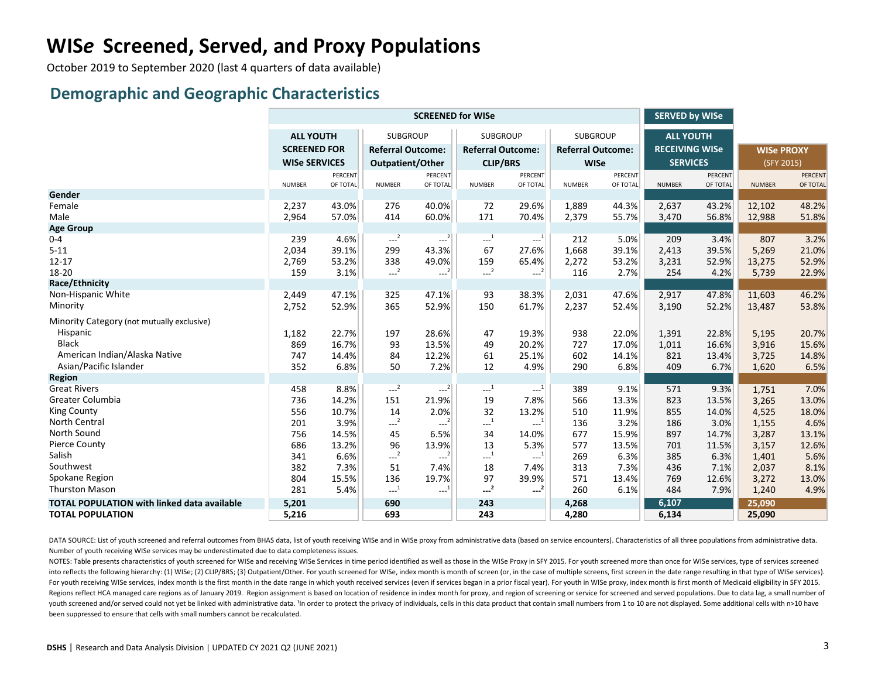# **WIS***e* **Screened, Served, and Proxy Populations**

October 2019 to September 2020 (last 4 quarters of data available)

#### **Demographic and Geographic Characteristics**

|                                                    | <b>SCREENED for WISe</b> |          |                              |                     |                          |          |                          |          | <b>SERVED by WISe</b> |          |                   |          |
|----------------------------------------------------|--------------------------|----------|------------------------------|---------------------|--------------------------|----------|--------------------------|----------|-----------------------|----------|-------------------|----------|
|                                                    | <b>ALL YOUTH</b>         |          | <b>SUBGROUP</b>              |                     | <b>SUBGROUP</b>          |          | <b>SUBGROUP</b>          |          | <b>ALL YOUTH</b>      |          |                   |          |
|                                                    | <b>SCREENED FOR</b>      |          | <b>Referral Outcome:</b>     |                     | <b>Referral Outcome:</b> |          | <b>Referral Outcome:</b> |          | <b>RECEIVING WISe</b> |          | <b>WISe PROXY</b> |          |
|                                                    | <b>WISe SERVICES</b>     |          | Outpatient/Other             |                     | <b>CLIP/BRS</b>          |          | <b>WISe</b>              |          | <b>SERVICES</b>       |          | (SFY 2015)        |          |
|                                                    |                          | PERCENT  |                              | <b>PERCENT</b>      |                          | PERCENT  |                          | PERCENT  |                       | PERCENT  |                   | PERCENT  |
|                                                    | <b>NUMBER</b>            | OF TOTAL | <b>NUMBER</b>                | OF TOTAL            | <b>NUMBER</b>            | OF TOTAL | <b>NUMBER</b>            | OF TOTAL | <b>NUMBER</b>         | OF TOTAL | <b>NUMBER</b>     | OF TOTAL |
| Gender                                             |                          |          |                              |                     |                          |          |                          |          |                       |          |                   |          |
| Female                                             | 2,237                    | 43.0%    | 276                          | 40.0%               | 72                       | 29.6%    | 1,889                    | 44.3%    | 2,637                 | 43.2%    | 12,102            | 48.2%    |
| Male                                               | 2,964                    | 57.0%    | 414                          | 60.0%               | 171                      | 70.4%    | 2,379                    | 55.7%    | 3,470                 | 56.8%    | 12,988            | 51.8%    |
| <b>Age Group</b>                                   |                          |          |                              |                     |                          |          |                          |          |                       |          |                   |          |
| $0 - 4$                                            | 239                      | 4.6%     | $\overline{\phantom{a}^{2}}$ | $-2$                | $\cdots$ <sup>1</sup>    | $-1$     | 212                      | 5.0%     | 209                   | 3.4%     | 807               | 3.2%     |
| $5 - 11$                                           | 2,034                    | 39.1%    | 299                          | 43.3%               | 67                       | 27.6%    | 1,668                    | 39.1%    | 2,413                 | 39.5%    | 5,269             | 21.0%    |
| $12 - 17$                                          | 2,769                    | 53.2%    | 338                          | 49.0%               | 159                      | 65.4%    | 2,272                    | 53.2%    | 3,231                 | 52.9%    | 13,275            | 52.9%    |
| 18-20                                              | 159                      | 3.1%     | $-2$                         | $---2$              | $-2$                     | $-2$     | 116                      | 2.7%     | 254                   | 4.2%     | 5,739             | 22.9%    |
| Race/Ethnicity                                     |                          |          |                              |                     |                          |          |                          |          |                       |          |                   |          |
| Non-Hispanic White                                 | 2,449                    | 47.1%    | 325                          | 47.1%               | 93                       | 38.3%    | 2,031                    | 47.6%    | 2,917                 | 47.8%    | 11,603            | 46.2%    |
| Minority                                           | 2,752                    | 52.9%    | 365                          | 52.9%               | 150                      | 61.7%    | 2,237                    | 52.4%    | 3,190                 | 52.2%    | 13,487            | 53.8%    |
| Minority Category (not mutually exclusive)         |                          |          |                              |                     |                          |          |                          |          |                       |          |                   |          |
| Hispanic                                           | 1,182                    | 22.7%    | 197                          | 28.6%               | 47                       | 19.3%    | 938                      | 22.0%    | 1,391                 | 22.8%    | 5,195             | 20.7%    |
| <b>Black</b>                                       | 869                      | 16.7%    | 93                           | 13.5%               | 49                       | 20.2%    | 727                      | 17.0%    | 1,011                 | 16.6%    | 3,916             | 15.6%    |
| American Indian/Alaska Native                      | 747                      | 14.4%    | 84                           | 12.2%               | 61                       | 25.1%    | 602                      | 14.1%    | 821                   | 13.4%    | 3,725             | 14.8%    |
| Asian/Pacific Islander                             | 352                      | 6.8%     | 50                           | 7.2%                | 12                       | 4.9%     | 290                      | 6.8%     | 409                   | 6.7%     | 1,620             | 6.5%     |
| <b>Region</b>                                      |                          |          |                              |                     |                          |          |                          |          |                       |          |                   |          |
| <b>Great Rivers</b>                                | 458                      | 8.8%     | $-2$                         | $---2$              | $\cdots$ <sup>1</sup>    | $-1$     | 389                      | 9.1%     | 571                   | 9.3%     | 1,751             | 7.0%     |
| Greater Columbia                                   | 736                      | 14.2%    | 151                          | 21.9%               | 19                       | 7.8%     | 566                      | 13.3%    | 823                   | 13.5%    | 3,265             | 13.0%    |
| <b>King County</b>                                 | 556                      | 10.7%    | 14                           | 2.0%                | 32                       | 13.2%    | 510                      | 11.9%    | 855                   | 14.0%    | 4,525             | 18.0%    |
| North Central                                      | 201                      | 3.9%     | $-2$                         | $---2$              | $\mathbf{L}^{-1}$        | $-1$     | 136                      | 3.2%     | 186                   | 3.0%     | 1,155             | 4.6%     |
| North Sound                                        | 756                      | 14.5%    | 45                           | 6.5%                | 34                       | 14.0%    | 677                      | 15.9%    | 897                   | 14.7%    | 3,287             | 13.1%    |
| <b>Pierce County</b>                               | 686                      | 13.2%    | 96                           | 13.9%               | 13                       | 5.3%     | 577                      | 13.5%    | 701                   | 11.5%    | 3,157             | 12.6%    |
| Salish                                             | 341                      | 6.6%     | $-2$                         | $---2$              | $-1$                     | $-1$     | 269                      | 6.3%     | 385                   | 6.3%     | 1,401             | 5.6%     |
| Southwest                                          | 382                      | 7.3%     | 51                           | 7.4%                | 18                       | 7.4%     | 313                      | 7.3%     | 436                   | 7.1%     | 2,037             | 8.1%     |
| Spokane Region                                     | 804                      | 15.5%    | 136                          | 19.7%               | 97                       | 39.9%    | 571                      | 13.4%    | 769                   | 12.6%    | 3,272             | 13.0%    |
| <b>Thurston Mason</b>                              | 281                      | 5.4%     | $\sim$ <sup>1</sup>          | $\sim$ <sup>1</sup> | $-2$                     | $-2$     | 260                      | 6.1%     | 484                   | 7.9%     | 1,240             | 4.9%     |
| <b>TOTAL POPULATION with linked data available</b> | 5,201                    |          | 690                          |                     | 243                      |          | 4,268                    |          | 6,107                 |          | 25,090            |          |
| <b>TOTAL POPULATION</b>                            | 5,216                    |          | 693                          |                     | 243                      |          | 4,280                    |          | 6,134                 |          | 25,090            |          |

DATA SOURCE: List of youth screened and referral outcomes from BHAS data, list of youth receiving WISe and in WISe proxy from administrative data (based on service encounters). Characteristics of all three populations from Number of youth receiving WISe services may be underestimated due to data completeness issues.

NOTES: Table presents characteristics of youth screened for WISe and receiving WISe Services in time period identified as well as those in the WISe Proxy in SFY 2015. For youth screened more than once for WISe services, ty into reflects the following hierarchy: (1) WISe; (2) CLIP/BRS; (3) Outpatient/Other. For youth screened for WISe, index month is month of screen (or, in the case of multiple screens, first screen in the date range resultin For youth receiving WISe services, index month is the first month in the date range in which youth received services (even if services began in a prior fiscal year). For youth in WISe proxy, index month is first month of M Regions reflect HCA managed care regions as of January 2019. Region assignment is based on location of residence in index month for proxy, and region of screening or service for screened and served populations. Due to data youth screened and/or served could not yet be linked with administrative data. <sup>1</sup>In order to protect the privacy of individuals, cells in this data product that contain small numbers from 1 to 10 are not displayed. Some a been suppressed to ensure that cells with small numbers cannot be recalculated.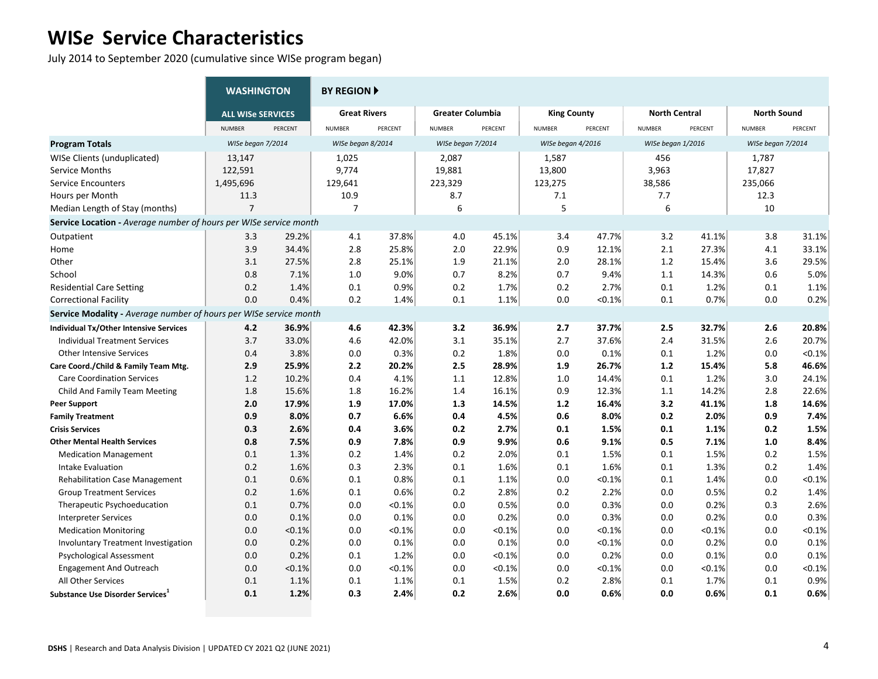July 2014 to September 2020 (cumulative since WISe program began)

|                                                                          | <b>WASHINGTON</b>        |         | <b>BY REGION ▶</b>  |         |                         |         |                    |           |                      |         |                    |           |
|--------------------------------------------------------------------------|--------------------------|---------|---------------------|---------|-------------------------|---------|--------------------|-----------|----------------------|---------|--------------------|-----------|
|                                                                          | <b>ALL WISe SERVICES</b> |         | <b>Great Rivers</b> |         | <b>Greater Columbia</b> |         | <b>King County</b> |           | <b>North Central</b> |         | <b>North Sound</b> |           |
|                                                                          | <b>NUMBER</b>            | PERCENT | <b>NUMBER</b>       | PERCENT | <b>NUMBER</b>           | PERCENT | <b>NUMBER</b>      | PERCENT   | <b>NUMBER</b>        | PERCENT | <b>NUMBER</b>      | PERCENT   |
| <b>Program Totals</b>                                                    | WISe began 7/2014        |         | WISe began 8/2014   |         | WISe began 7/2014       |         | WISe began 4/2016  |           | WISe began 1/2016    |         | WISe began 7/2014  |           |
| WISe Clients (unduplicated)                                              | 13,147                   |         | 1,025               |         | 2,087                   |         | 1,587              |           | 456                  |         | 1,787              |           |
| Service Months                                                           | 122,591                  |         | 9,774               |         | 19,881                  |         | 13,800             |           | 3,963                |         | 17,827             |           |
| <b>Service Encounters</b>                                                | 1,495,696                |         | 129,641             |         | 223,329                 |         | 123,275            |           | 38,586               |         | 235,066            |           |
| Hours per Month                                                          | 11.3                     |         | 10.9                |         | 8.7                     |         | 7.1                |           | 7.7                  |         | 12.3               |           |
| Median Length of Stay (months)                                           | $\overline{7}$           |         | $\overline{7}$      |         | 6                       |         | 5                  |           | 6                    |         | 10                 |           |
| Service Location - Average number of hours per WISe service month        |                          |         |                     |         |                         |         |                    |           |                      |         |                    |           |
| Outpatient                                                               | 3.3                      | 29.2%   | 4.1                 | 37.8%   | 4.0                     | 45.1%   | 3.4                | 47.7%     | 3.2                  | 41.1%   | 3.8                | 31.1%     |
| Home                                                                     | 3.9                      | 34.4%   | 2.8                 | 25.8%   | 2.0                     | 22.9%   | 0.9                | 12.1%     | 2.1                  | 27.3%   | 4.1                | 33.1%     |
| Other                                                                    | 3.1                      | 27.5%   | 2.8                 | 25.1%   | 1.9                     | 21.1%   | 2.0                | 28.1%     | 1.2                  | 15.4%   | 3.6                | 29.5%     |
| School                                                                   | 0.8                      | 7.1%    | 1.0                 | 9.0%    | 0.7                     | 8.2%    | 0.7                | 9.4%      | 1.1                  | 14.3%   | 0.6                | 5.0%      |
| <b>Residential Care Setting</b>                                          | 0.2                      | 1.4%    | 0.1                 | 0.9%    | 0.2                     | 1.7%    | 0.2                | 2.7%      | 0.1                  | 1.2%    | 0.1                | 1.1%      |
| <b>Correctional Facility</b>                                             | 0.0                      | 0.4%    | 0.2                 | 1.4%    | 0.1                     | 1.1%    | 0.0                | $< 0.1\%$ | 0.1                  | 0.7%    | 0.0                | 0.2%      |
| <b>Service Modality - Average number of hours per WISe service month</b> |                          |         |                     |         |                         |         |                    |           |                      |         |                    |           |
| Individual Tx/Other Intensive Services                                   | 4.2                      | 36.9%   | 4.6                 | 42.3%   | 3.2                     | 36.9%   | 2.7                | 37.7%     | 2.5                  | 32.7%   | 2.6                | 20.8%     |
| <b>Individual Treatment Services</b>                                     | 3.7                      | 33.0%   | 4.6                 | 42.0%   | 3.1                     | 35.1%   | 2.7                | 37.6%     | 2.4                  | 31.5%   | 2.6                | 20.7%     |
| <b>Other Intensive Services</b>                                          | 0.4                      | 3.8%    | 0.0                 | 0.3%    | 0.2                     | 1.8%    | 0.0                | 0.1%      | 0.1                  | 1.2%    | 0.0                | $< 0.1\%$ |
| Care Coord./Child & Family Team Mtg.                                     | 2.9                      | 25.9%   | 2.2                 | 20.2%   | 2.5                     | 28.9%   | 1.9                | 26.7%     | $1.2$                | 15.4%   | 5.8                | 46.6%     |
| <b>Care Coordination Services</b>                                        | 1.2                      | 10.2%   | 0.4                 | 4.1%    | 1.1                     | 12.8%   | 1.0                | 14.4%     | 0.1                  | 1.2%    | 3.0                | 24.1%     |
| Child And Family Team Meeting                                            | 1.8                      | 15.6%   | 1.8                 | 16.2%   | 1.4                     | 16.1%   | 0.9                | 12.3%     | 1.1                  | 14.2%   | 2.8                | 22.6%     |
| <b>Peer Support</b>                                                      | 2.0                      | 17.9%   | 1.9                 | 17.0%   | 1.3                     | 14.5%   | 1.2                | 16.4%     | 3.2                  | 41.1%   | 1.8                | 14.6%     |
| <b>Family Treatment</b>                                                  | 0.9                      | 8.0%    | 0.7                 | 6.6%    | 0.4                     | 4.5%    | 0.6                | 8.0%      | 0.2                  | 2.0%    | 0.9                | 7.4%      |
| <b>Crisis Services</b>                                                   | 0.3                      | 2.6%    | 0.4                 | 3.6%    | 0.2                     | 2.7%    | 0.1                | 1.5%      | 0.1                  | 1.1%    | 0.2                | 1.5%      |
| <b>Other Mental Health Services</b>                                      | 0.8                      | 7.5%    | 0.9                 | 7.8%    | 0.9                     | 9.9%    | 0.6                | 9.1%      | 0.5                  | 7.1%    | 1.0                | 8.4%      |
| <b>Medication Management</b>                                             | 0.1                      | 1.3%    | 0.2                 | 1.4%    | 0.2                     | 2.0%    | 0.1                | 1.5%      | 0.1                  | 1.5%    | 0.2                | 1.5%      |
| Intake Evaluation                                                        | 0.2                      | 1.6%    | 0.3                 | 2.3%    | 0.1                     | 1.6%    | 0.1                | 1.6%      | 0.1                  | 1.3%    | 0.2                | 1.4%      |
| <b>Rehabilitation Case Management</b>                                    | 0.1                      | 0.6%    | 0.1                 | 0.8%    | 0.1                     | 1.1%    | 0.0                | < 0.1%    | 0.1                  | 1.4%    | 0.0                | < 0.1%    |
| <b>Group Treatment Services</b>                                          | 0.2                      | 1.6%    | 0.1                 | 0.6%    | 0.2                     | 2.8%    | 0.2                | 2.2%      | 0.0                  | 0.5%    | 0.2                | 1.4%      |
| Therapeutic Psychoeducation                                              | 0.1                      | 0.7%    | 0.0                 | < 0.1%  | 0.0                     | 0.5%    | 0.0                | 0.3%      | 0.0                  | 0.2%    | 0.3                | 2.6%      |
| Interpreter Services                                                     | 0.0                      | 0.1%    | 0.0                 | 0.1%    | 0.0                     | 0.2%    | 0.0                | 0.3%      | 0.0                  | 0.2%    | 0.0                | 0.3%      |
| <b>Medication Monitoring</b>                                             | 0.0                      | < 0.1%  | 0.0                 | < 0.1%  | 0.0                     | < 0.1%  | 0.0                | < 0.1%    | 0.0                  | < 0.1%  | 0.0                | < 0.1%    |
| <b>Involuntary Treatment Investigation</b>                               | 0.0                      | 0.2%    | 0.0                 | 0.1%    | 0.0                     | 0.1%    | 0.0                | < 0.1%    | 0.0                  | 0.2%    | 0.0                | 0.1%      |
| Psychological Assessment                                                 | 0.0                      | 0.2%    | 0.1                 | 1.2%    | 0.0                     | < 0.1%  | 0.0                | 0.2%      | 0.0                  | 0.1%    | 0.0                | 0.1%      |
| <b>Engagement And Outreach</b>                                           | 0.0                      | < 0.1%  | 0.0                 | < 0.1%  | 0.0                     | < 0.1%  | 0.0                | < 0.1%    | 0.0                  | < 0.1%  | 0.0                | < 0.1%    |
| All Other Services                                                       | 0.1                      | 1.1%    | 0.1                 | 1.1%    | 0.1                     | 1.5%    | 0.2                | 2.8%      | 0.1                  | 1.7%    | 0.1                | 0.9%      |
| Substance Use Disorder Services <sup>1</sup>                             | 0.1                      | 1.2%    | 0.3                 | 2.4%    | 0.2                     | 2.6%    | 0.0                | 0.6%      | 0.0                  | 0.6%    | 0.1                | 0.6%      |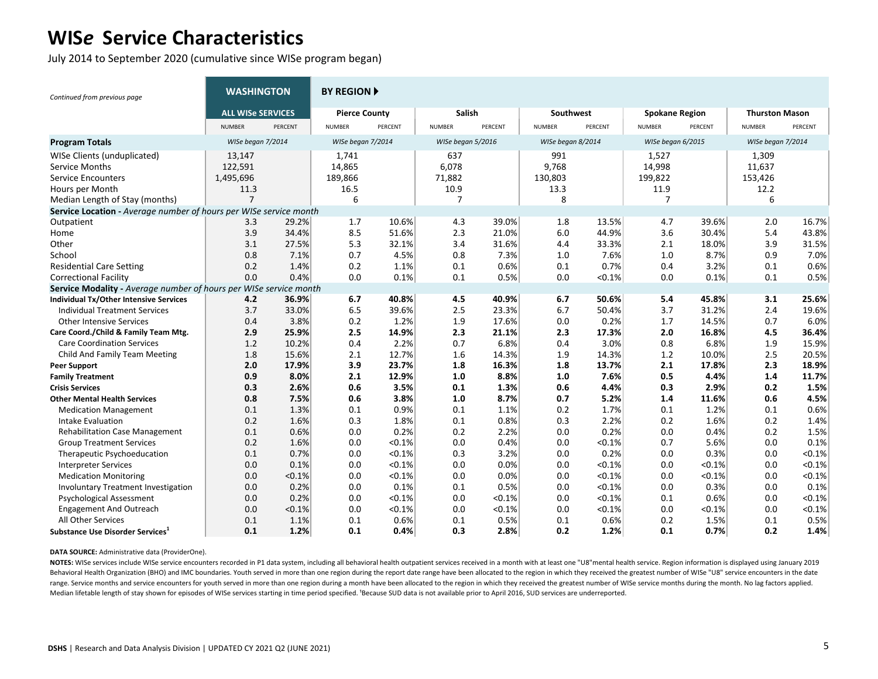July 2014 to September 2020 (cumulative since WISe program began)

| Continued from previous page                                      | <b>WASHINGTON</b>        |         | <b>BY REGION ▶</b>   |         |                   |         |                   |         |                       |         |                       |         |
|-------------------------------------------------------------------|--------------------------|---------|----------------------|---------|-------------------|---------|-------------------|---------|-----------------------|---------|-----------------------|---------|
|                                                                   | <b>ALL WISe SERVICES</b> |         | <b>Pierce County</b> |         | Salish            |         | Southwest         |         | <b>Spokane Region</b> |         | <b>Thurston Mason</b> |         |
|                                                                   | <b>NUMBER</b>            | PERCENT | <b>NUMBER</b>        | PERCENT | <b>NUMBER</b>     | PERCENT | <b>NUMBER</b>     | PERCENT | <b>NUMBER</b>         | PERCENT | <b>NUMBER</b>         | PERCENT |
| <b>Program Totals</b>                                             | WISe began 7/2014        |         | WISe began 7/2014    |         | WISe began 5/2016 |         | WISe began 8/2014 |         | WISe began 6/2015     |         | WISe began 7/2014     |         |
| WISe Clients (unduplicated)                                       | 13,147                   |         | 1,741                |         | 637               |         | 991               |         | 1,527                 |         | 1,309                 |         |
| Service Months                                                    | 122,591                  |         | 14,865               |         | 6,078             |         | 9.768             |         | 14,998                |         | 11,637                |         |
| <b>Service Encounters</b>                                         | 1,495,696                |         | 189,866              |         | 71,882            |         | 130,803           |         | 199,822               |         | 153,426               |         |
| Hours per Month                                                   | 11.3                     |         | 16.5                 |         | 10.9              |         | 13.3              |         | 11.9                  |         | 12.2                  |         |
| Median Length of Stay (months)                                    | $\overline{7}$           |         | 6                    |         | 7                 |         | 8                 |         | $\overline{7}$        |         | 6                     |         |
| Service Location - Average number of hours per WISe service month |                          |         |                      |         |                   |         |                   |         |                       |         |                       |         |
| Outpatient                                                        | 3.3                      | 29.2%   | 1.7                  | 10.6%   | 4.3               | 39.0%   | 1.8               | 13.5%   | 4.7                   | 39.6%   | 2.0                   | 16.7%   |
| Home                                                              | 3.9                      | 34.4%   | 8.5                  | 51.6%   | 2.3               | 21.0%   | 6.0               | 44.9%   | 3.6                   | 30.4%   | 5.4                   | 43.8%   |
| Other                                                             | 3.1                      | 27.5%   | 5.3                  | 32.1%   | 3.4               | 31.6%   | 4.4               | 33.3%   | 2.1                   | 18.0%   | 3.9                   | 31.5%   |
| School                                                            | 0.8                      | 7.1%    | 0.7                  | 4.5%    | 0.8               | 7.3%    | 1.0               | 7.6%    | 1.0                   | 8.7%    | 0.9                   | 7.0%    |
| <b>Residential Care Setting</b>                                   | 0.2                      | 1.4%    | 0.2                  | 1.1%    | 0.1               | 0.6%    | 0.1               | 0.7%    | 0.4                   | 3.2%    | 0.1                   | 0.6%    |
| <b>Correctional Facility</b>                                      | 0.0                      | 0.4%    | 0.0                  | 0.1%    | 0.1               | 0.5%    | 0.0               | < 0.1%  | 0.0                   | 0.1%    | 0.1                   | 0.5%    |
| Service Modality - Average number of hours per WISe service month |                          |         |                      |         |                   |         |                   |         |                       |         |                       |         |
| Individual Tx/Other Intensive Services                            | 4.2                      | 36.9%   | 6.7                  | 40.8%   | 4.5               | 40.9%   | 6.7               | 50.6%   | 5.4                   | 45.8%   | 3.1                   | 25.6%   |
| <b>Individual Treatment Services</b>                              | 3.7                      | 33.0%   | 6.5                  | 39.6%   | 2.5               | 23.3%   | 6.7               | 50.4%   | 3.7                   | 31.2%   | 2.4                   | 19.6%   |
| <b>Other Intensive Services</b>                                   | 0.4                      | 3.8%    | 0.2                  | 1.2%    | 1.9               | 17.6%   | 0.0               | 0.2%    | 1.7                   | 14.5%   | 0.7                   | 6.0%    |
| Care Coord./Child & Family Team Mtg.                              | 2.9                      | 25.9%   | 2.5                  | 14.9%   | 2.3               | 21.1%   | 2.3               | 17.3%   | 2.0                   | 16.8%   | 4.5                   | 36.4%   |
| <b>Care Coordination Services</b>                                 | 1.2                      | 10.2%   | 0.4                  | 2.2%    | 0.7               | 6.8%    | 0.4               | 3.0%    | 0.8                   | 6.8%    | 1.9                   | 15.9%   |
| Child And Family Team Meeting                                     | 1.8                      | 15.6%   | 2.1                  | 12.7%   | 1.6               | 14.3%   | 1.9               | 14.3%   | 1.2                   | 10.0%   | 2.5                   | 20.5%   |
| <b>Peer Support</b>                                               | 2.0                      | 17.9%   | 3.9                  | 23.7%   | 1.8               | 16.3%   | 1.8               | 13.7%   | 2.1                   | 17.8%   | 2.3                   | 18.9%   |
| <b>Family Treatment</b>                                           | 0.9                      | 8.0%    | 2.1                  | 12.9%   | 1.0               | 8.8%    | 1.0               | 7.6%    | 0.5                   | 4.4%    | 1.4                   | 11.7%   |
| <b>Crisis Services</b>                                            | 0.3                      | 2.6%    | 0.6                  | 3.5%    | 0.1               | 1.3%    | 0.6               | 4.4%    | 0.3                   | 2.9%    | 0.2                   | 1.5%    |
| <b>Other Mental Health Services</b>                               | 0.8                      | 7.5%    | 0.6                  | 3.8%    | 1.0               | 8.7%    | 0.7               | 5.2%    | 1.4                   | 11.6%   | 0.6                   | 4.5%    |
| <b>Medication Management</b>                                      | 0.1                      | 1.3%    | 0.1                  | 0.9%    | 0.1               | 1.1%    | 0.2               | 1.7%    | 0.1                   | 1.2%    | 0.1                   | 0.6%    |
| Intake Evaluation                                                 | 0.2                      | 1.6%    | 0.3                  | 1.8%    | 0.1               | 0.8%    | 0.3               | 2.2%    | 0.2                   | 1.6%    | 0.2                   | 1.4%    |
| <b>Rehabilitation Case Management</b>                             | 0.1                      | 0.6%    | 0.0                  | 0.2%    | 0.2               | 2.2%    | 0.0               | 0.2%    | 0.0                   | 0.4%    | 0.2                   | 1.5%    |
| <b>Group Treatment Services</b>                                   | 0.2                      | 1.6%    | 0.0                  | < 0.1%  | 0.0               | 0.4%    | 0.0               | < 0.1%  | 0.7                   | 5.6%    | 0.0                   | 0.1%    |
| Therapeutic Psychoeducation                                       | 0.1                      | 0.7%    | 0.0                  | < 0.1%  | 0.3               | 3.2%    | 0.0               | 0.2%    | 0.0                   | 0.3%    | 0.0                   | < 0.1%  |
| <b>Interpreter Services</b>                                       | 0.0                      | 0.1%    | 0.0                  | < 0.1%  | 0.0               | 0.0%    | 0.0               | < 0.1%  | 0.0                   | < 0.1%  | 0.0                   | < 0.1%  |
| <b>Medication Monitoring</b>                                      | 0.0                      | < 0.1%  | 0.0                  | < 0.1%  | 0.0               | 0.0%    | 0.0               | < 0.1%  | 0.0                   | < 0.1%  | 0.0                   | < 0.1%  |
| Involuntary Treatment Investigation                               | 0.0                      | 0.2%    | 0.0                  | 0.1%    | 0.1               | 0.5%    | 0.0               | < 0.1%  | 0.0                   | 0.3%    | 0.0                   | 0.1%    |
| <b>Psychological Assessment</b>                                   | 0.0                      | 0.2%    | 0.0                  | < 0.1%  | 0.0               | < 0.1%  | 0.0               | < 0.1%  | 0.1                   | 0.6%    | 0.0                   | < 0.1%  |
| <b>Engagement And Outreach</b>                                    | 0.0                      | < 0.1%  | 0.0                  | < 0.1%  | 0.0               | < 0.1%  | 0.0               | < 0.1%  | 0.0                   | < 0.1%  | 0.0                   | < 0.1%  |
| All Other Services                                                | 0.1                      | 1.1%    | 0.1                  | 0.6%    | 0.1               | 0.5%    | 0.1               | 0.6%    | 0.2                   | 1.5%    | 0.1                   | 0.5%    |
| Substance Use Disorder Services                                   | 0.1                      | 1.2%    | 0.1                  | 0.4%    | 0.3               | 2.8%    | 0.2               | 1.2%    | 0.1                   | 0.7%    | 0.2                   | 1.4%    |

**DATA SOURCE:** Administrative data (ProviderOne).

NOTES: WISe services include WISe service encounters recorded in P1 data system, including all behavioral health outpatient services received in a month with at least one "U8"mental health service. Region information is di Behavioral Health Organization (BHO) and IMC boundaries. Youth served in more than one region during the report date range have been allocated to the region in which they received the greatest number of WISe "U8" service e range. Service months and service encounters for youth served in more than one region during a month have been allocated to the region in which they received the greatest number of WISe service months during the month. No Median lifetable length of stay shown for episodes of WISe services starting in time period specified. 'Because SUD data is not available prior to April 2016, SUD services are underreported.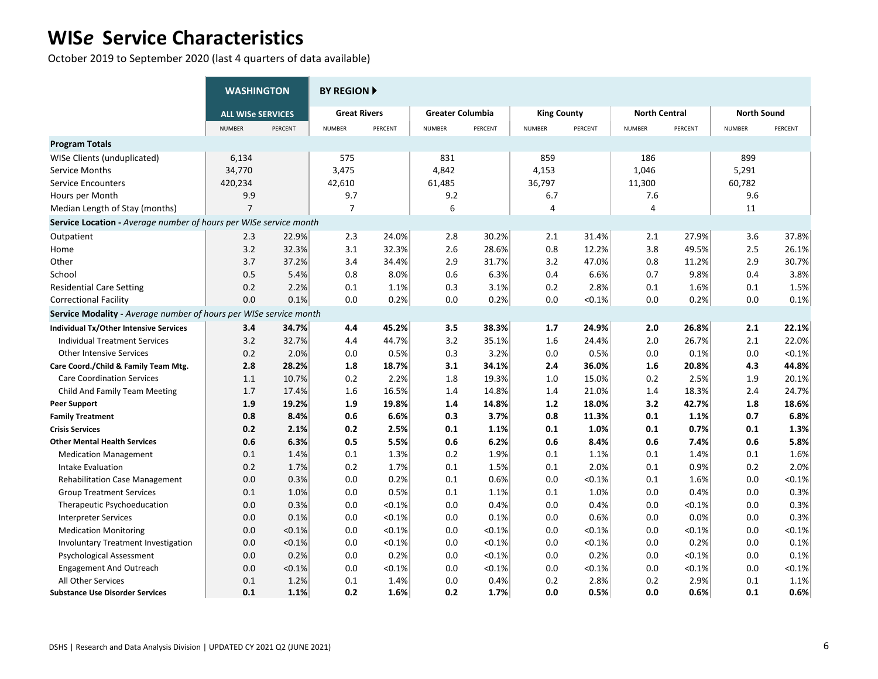October 2019 to September 2020 (last 4 quarters of data available)

|                                                                   | <b>WASHINGTON</b>        |         | <b>BY REGION F</b>  |         |                         |         |                    |         |                      |           |                    |           |
|-------------------------------------------------------------------|--------------------------|---------|---------------------|---------|-------------------------|---------|--------------------|---------|----------------------|-----------|--------------------|-----------|
|                                                                   | <b>ALL WISe SERVICES</b> |         | <b>Great Rivers</b> |         | <b>Greater Columbia</b> |         | <b>King County</b> |         | <b>North Central</b> |           | <b>North Sound</b> |           |
|                                                                   | <b>NUMBER</b>            | PERCENT | <b>NUMBER</b>       | PERCENT | <b>NUMBER</b>           | PERCENT | <b>NUMBER</b>      | PERCENT | <b>NUMBER</b>        | PERCENT   | <b>NUMBER</b>      | PERCENT   |
| <b>Program Totals</b>                                             |                          |         |                     |         |                         |         |                    |         |                      |           |                    |           |
| WISe Clients (unduplicated)                                       | 6,134                    |         | 575                 |         | 831                     |         | 859                |         | 186                  |           | 899                |           |
| Service Months                                                    | 34,770                   |         | 3,475               |         | 4,842                   |         | 4,153              |         | 1,046                |           | 5,291              |           |
| <b>Service Encounters</b>                                         | 420,234                  |         | 42,610              |         | 61,485                  |         | 36,797             |         | 11,300               |           | 60,782             |           |
| Hours per Month                                                   | 9.9                      |         | 9.7                 |         | 9.2                     |         | 6.7                |         | 7.6                  |           | 9.6                |           |
| Median Length of Stay (months)                                    | $\overline{7}$           |         | $\overline{7}$      |         | 6                       |         | 4                  |         | 4                    |           | 11                 |           |
| Service Location - Average number of hours per WISe service month |                          |         |                     |         |                         |         |                    |         |                      |           |                    |           |
| Outpatient                                                        | 2.3                      | 22.9%   | 2.3                 | 24.0%   | 2.8                     | 30.2%   | 2.1                | 31.4%   | 2.1                  | 27.9%     | 3.6                | 37.8%     |
| Home                                                              | 3.2                      | 32.3%   | 3.1                 | 32.3%   | 2.6                     | 28.6%   | 0.8                | 12.2%   | 3.8                  | 49.5%     | 2.5                | 26.1%     |
| Other                                                             | 3.7                      | 37.2%   | 3.4                 | 34.4%   | 2.9                     | 31.7%   | 3.2                | 47.0%   | 0.8                  | 11.2%     | 2.9                | 30.7%     |
| School                                                            | 0.5                      | 5.4%    | 0.8                 | 8.0%    | 0.6                     | 6.3%    | 0.4                | 6.6%    | 0.7                  | 9.8%      | 0.4                | 3.8%      |
| <b>Residential Care Setting</b>                                   | 0.2                      | 2.2%    | 0.1                 | 1.1%    | 0.3                     | 3.1%    | 0.2                | 2.8%    | 0.1                  | 1.6%      | 0.1                | 1.5%      |
| <b>Correctional Facility</b>                                      | 0.0                      | 0.1%    | 0.0                 | 0.2%    | 0.0                     | 0.2%    | 0.0                | < 0.1%  | 0.0                  | 0.2%      | 0.0                | 0.1%      |
| Service Modality - Average number of hours per WISe service month |                          |         |                     |         |                         |         |                    |         |                      |           |                    |           |
| Individual Tx/Other Intensive Services                            | 3.4                      | 34.7%   | 4.4                 | 45.2%   | 3.5                     | 38.3%   | 1.7                | 24.9%   | 2.0                  | 26.8%     | 2.1                | 22.1%     |
| <b>Individual Treatment Services</b>                              | 3.2                      | 32.7%   | 4.4                 | 44.7%   | 3.2                     | 35.1%   | 1.6                | 24.4%   | 2.0                  | 26.7%     | 2.1                | 22.0%     |
| <b>Other Intensive Services</b>                                   | 0.2                      | 2.0%    | 0.0                 | 0.5%    | 0.3                     | 3.2%    | 0.0                | 0.5%    | 0.0                  | 0.1%      | 0.0                | $< 0.1\%$ |
| Care Coord./Child & Family Team Mtg.                              | 2.8                      | 28.2%   | 1.8                 | 18.7%   | 3.1                     | 34.1%   | 2.4                | 36.0%   | 1.6                  | 20.8%     | 4.3                | 44.8%     |
| <b>Care Coordination Services</b>                                 | 1.1                      | 10.7%   | 0.2                 | 2.2%    | 1.8                     | 19.3%   | 1.0                | 15.0%   | 0.2                  | 2.5%      | 1.9                | 20.1%     |
| Child And Family Team Meeting                                     | 1.7                      | 17.4%   | 1.6                 | 16.5%   | 1.4                     | 14.8%   | 1.4                | 21.0%   | 1.4                  | 18.3%     | 2.4                | 24.7%     |
| <b>Peer Support</b>                                               | 1.9                      | 19.2%   | 1.9                 | 19.8%   | 1.4                     | 14.8%   | $1.2$              | 18.0%   | 3.2                  | 42.7%     | 1.8                | 18.6%     |
| <b>Family Treatment</b>                                           | 0.8                      | 8.4%    | 0.6                 | 6.6%    | 0.3                     | 3.7%    | 0.8                | 11.3%   | 0.1                  | 1.1%      | 0.7                | 6.8%      |
| <b>Crisis Services</b>                                            | 0.2                      | 2.1%    | 0.2                 | 2.5%    | 0.1                     | 1.1%    | 0.1                | 1.0%    | 0.1                  | 0.7%      | 0.1                | 1.3%      |
| <b>Other Mental Health Services</b>                               | 0.6                      | 6.3%    | 0.5                 | 5.5%    | 0.6                     | 6.2%    | 0.6                | 8.4%    | 0.6                  | 7.4%      | 0.6                | 5.8%      |
| <b>Medication Management</b>                                      | 0.1                      | 1.4%    | 0.1                 | 1.3%    | 0.2                     | 1.9%    | 0.1                | 1.1%    | 0.1                  | 1.4%      | 0.1                | 1.6%      |
| Intake Evaluation                                                 | 0.2                      | 1.7%    | 0.2                 | 1.7%    | 0.1                     | 1.5%    | 0.1                | 2.0%    | 0.1                  | 0.9%      | 0.2                | 2.0%      |
| <b>Rehabilitation Case Management</b>                             | 0.0                      | 0.3%    | 0.0                 | 0.2%    | 0.1                     | 0.6%    | 0.0                | < 0.1%  | 0.1                  | 1.6%      | 0.0                | < 0.1%    |
| <b>Group Treatment Services</b>                                   | 0.1                      | 1.0%    | 0.0                 | 0.5%    | 0.1                     | 1.1%    | 0.1                | 1.0%    | 0.0                  | 0.4%      | 0.0                | 0.3%      |
| Therapeutic Psychoeducation                                       | 0.0                      | 0.3%    | 0.0                 | < 0.1%  | 0.0                     | 0.4%    | 0.0                | 0.4%    | 0.0                  | < 0.1%    | 0.0                | 0.3%      |
| <b>Interpreter Services</b>                                       | 0.0                      | 0.1%    | 0.0                 | < 0.1%  | 0.0                     | 0.1%    | 0.0                | 0.6%    | 0.0                  | 0.0%      | 0.0                | 0.3%      |
| <b>Medication Monitoring</b>                                      | 0.0                      | < 0.1%  | 0.0                 | < 0.1%  | 0.0                     | < 0.1%  | 0.0                | < 0.1%  | 0.0                  | $< 0.1\%$ | 0.0                | < 0.1%    |
| <b>Involuntary Treatment Investigation</b>                        | 0.0                      | < 0.1%  | 0.0                 | < 0.1%  | 0.0                     | < 0.1%  | 0.0                | < 0.1%  | 0.0                  | 0.2%      | 0.0                | 0.1%      |
| <b>Psychological Assessment</b>                                   | 0.0                      | 0.2%    | 0.0                 | 0.2%    | 0.0                     | < 0.1%  | 0.0                | 0.2%    | 0.0                  | < 0.1%    | 0.0                | 0.1%      |
| <b>Engagement And Outreach</b>                                    | 0.0                      | < 0.1%  | 0.0                 | < 0.1%  | 0.0                     | < 0.1%  | 0.0                | < 0.1%  | 0.0                  | $< 0.1\%$ | 0.0                | < 0.1%    |
| All Other Services                                                | 0.1                      | 1.2%    | 0.1                 | 1.4%    | 0.0                     | 0.4%    | 0.2                | 2.8%    | 0.2                  | 2.9%      | 0.1                | 1.1%      |
| <b>Substance Use Disorder Services</b>                            | 0.1                      | 1.1%    | 0.2                 | 1.6%    | 0.2                     | 1.7%    | 0.0                | 0.5%    | 0.0                  | 0.6%      | 0.1                | 0.6%      |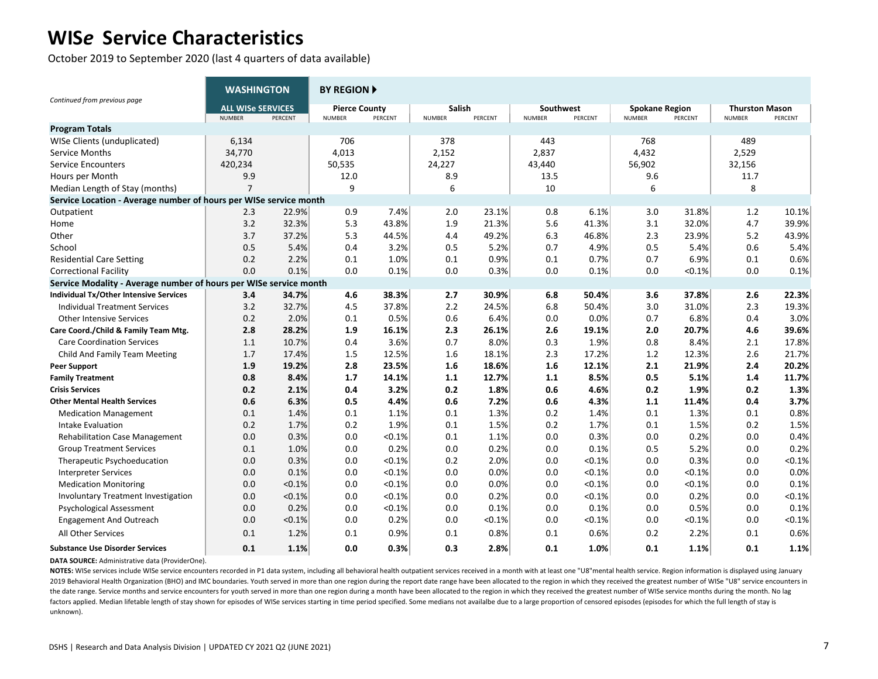October 2019 to September 2020 (last 4 quarters of data available)

|                                                                   | <b>WASHINGTON</b>        |         | <b>BY REGION A</b>   |         |               |         |               |         |                       |         |                       |         |
|-------------------------------------------------------------------|--------------------------|---------|----------------------|---------|---------------|---------|---------------|---------|-----------------------|---------|-----------------------|---------|
| Continued from previous page                                      | <b>ALL WISe SERVICES</b> |         | <b>Pierce County</b> |         | <b>Salish</b> |         | Southwest     |         | <b>Spokane Region</b> |         | <b>Thurston Mason</b> |         |
| <b>Program Totals</b>                                             | <b>NUMBER</b>            | PERCENT | <b>NUMBER</b>        | PERCENT | <b>NUMBER</b> | PERCENT | <b>NUMBER</b> | PERCENT | <b>NUMBER</b>         | PERCENT | <b>NUMBER</b>         | PERCENT |
| WISe Clients (unduplicated)                                       | 6,134                    |         | 706                  |         | 378           |         | 443           |         | 768                   |         | 489                   |         |
| Service Months                                                    | 34,770                   |         | 4,013                |         | 2,152         |         | 2,837         |         | 4,432                 |         | 2,529                 |         |
| <b>Service Encounters</b>                                         | 420,234                  |         | 50,535               |         | 24,227        |         | 43,440        |         | 56,902                |         | 32,156                |         |
| Hours per Month                                                   | 9.9                      |         | 12.0                 |         | 8.9           |         | 13.5          |         | 9.6                   |         | 11.7                  |         |
| Median Length of Stay (months)                                    | $\overline{7}$           |         | 9                    |         | 6             |         | 10            |         | 6                     |         | 8                     |         |
| Service Location - Average number of hours per WISe service month |                          |         |                      |         |               |         |               |         |                       |         |                       |         |
| Outpatient                                                        | 2.3                      | 22.9%   | 0.9                  | 7.4%    | 2.0           | 23.1%   | 0.8           | 6.1%    | 3.0                   | 31.8%   | 1.2                   | 10.1%   |
| Home                                                              | 3.2                      | 32.3%   | 5.3                  | 43.8%   | 1.9           | 21.3%   | 5.6           | 41.3%   | 3.1                   | 32.0%   | 4.7                   | 39.9%   |
| Other                                                             | 3.7                      | 37.2%   | 5.3                  | 44.5%   | 4.4           | 49.2%   | 6.3           | 46.8%   | 2.3                   | 23.9%   | 5.2                   | 43.9%   |
| School                                                            | 0.5                      | 5.4%    | 0.4                  | 3.2%    | 0.5           | 5.2%    | 0.7           | 4.9%    | 0.5                   | 5.4%    | 0.6                   | 5.4%    |
| <b>Residential Care Setting</b>                                   | 0.2                      | 2.2%    | 0.1                  | 1.0%    | 0.1           | 0.9%    | 0.1           | 0.7%    | 0.7                   | 6.9%    | 0.1                   | 0.6%    |
| <b>Correctional Facility</b>                                      | 0.0                      | 0.1%    | 0.0                  | 0.1%    | 0.0           | 0.3%    | 0.0           | 0.1%    | 0.0                   | < 0.1%  | 0.0                   | 0.1%    |
| Service Modality - Average number of hours per WISe service month |                          |         |                      |         |               |         |               |         |                       |         |                       |         |
| Individual Tx/Other Intensive Services                            | 3.4                      | 34.7%   | 4.6                  | 38.3%   | 2.7           | 30.9%   | 6.8           | 50.4%   | 3.6                   | 37.8%   | 2.6                   | 22.3%   |
| <b>Individual Treatment Services</b>                              | 3.2                      | 32.7%   | 4.5                  | 37.8%   | 2.2           | 24.5%   | 6.8           | 50.4%   | 3.0                   | 31.0%   | 2.3                   | 19.3%   |
| <b>Other Intensive Services</b>                                   | 0.2                      | 2.0%    | 0.1                  | 0.5%    | 0.6           | 6.4%    | 0.0           | 0.0%    | 0.7                   | 6.8%    | 0.4                   | 3.0%    |
| Care Coord./Child & Family Team Mtg.                              | 2.8                      | 28.2%   | 1.9                  | 16.1%   | 2.3           | 26.1%   | 2.6           | 19.1%   | 2.0                   | 20.7%   | 4.6                   | 39.6%   |
| <b>Care Coordination Services</b>                                 | 1.1                      | 10.7%   | 0.4                  | 3.6%    | 0.7           | 8.0%    | 0.3           | 1.9%    | 0.8                   | 8.4%    | 2.1                   | 17.8%   |
| Child And Family Team Meeting                                     | 1.7                      | 17.4%   | 1.5                  | 12.5%   | 1.6           | 18.1%   | 2.3           | 17.2%   | 1.2                   | 12.3%   | 2.6                   | 21.7%   |
| <b>Peer Support</b>                                               | 1.9                      | 19.2%   | 2.8                  | 23.5%   | 1.6           | 18.6%   | 1.6           | 12.1%   | 2.1                   | 21.9%   | 2.4                   | 20.2%   |
| <b>Family Treatment</b>                                           | 0.8                      | 8.4%    | 1.7                  | 14.1%   | 1.1           | 12.7%   | 1.1           | 8.5%    | 0.5                   | 5.1%    | 1.4                   | 11.7%   |
| <b>Crisis Services</b>                                            | 0.2                      | 2.1%    | 0.4                  | 3.2%    | 0.2           | 1.8%    | 0.6           | 4.6%    | 0.2                   | 1.9%    | 0.2                   | 1.3%    |
| <b>Other Mental Health Services</b>                               | 0.6                      | 6.3%    | 0.5                  | 4.4%    | 0.6           | 7.2%    | 0.6           | 4.3%    | 1.1                   | 11.4%   | 0.4                   | 3.7%    |
| <b>Medication Management</b>                                      | 0.1                      | 1.4%    | 0.1                  | 1.1%    | 0.1           | 1.3%    | 0.2           | 1.4%    | 0.1                   | 1.3%    | 0.1                   | 0.8%    |
| Intake Evaluation                                                 | 0.2                      | 1.7%    | 0.2                  | 1.9%    | 0.1           | 1.5%    | 0.2           | 1.7%    | 0.1                   | 1.5%    | 0.2                   | 1.5%    |
| <b>Rehabilitation Case Management</b>                             | 0.0                      | 0.3%    | 0.0                  | < 0.1%  | 0.1           | 1.1%    | 0.0           | 0.3%    | 0.0                   | 0.2%    | 0.0                   | 0.4%    |
| <b>Group Treatment Services</b>                                   | 0.1                      | 1.0%    | 0.0                  | 0.2%    | 0.0           | 0.2%    | 0.0           | 0.1%    | 0.5                   | 5.2%    | 0.0                   | 0.2%    |
| Therapeutic Psychoeducation                                       | 0.0                      | 0.3%    | 0.0                  | < 0.1%  | 0.2           | 2.0%    | 0.0           | < 0.1%  | 0.0                   | 0.3%    | 0.0                   | < 0.1%  |
| <b>Interpreter Services</b>                                       | 0.0                      | 0.1%    | 0.0                  | < 0.1%  | 0.0           | 0.0%    | 0.0           | < 0.1%  | 0.0                   | < 0.1%  | 0.0                   | 0.0%    |
| <b>Medication Monitoring</b>                                      | 0.0                      | < 0.1%  | 0.0                  | < 0.1%  | 0.0           | 0.0%    | 0.0           | < 0.1%  | 0.0                   | < 0.1%  | 0.0                   | 0.1%    |
| Involuntary Treatment Investigation                               | 0.0                      | < 0.1%  | 0.0                  | < 0.1%  | 0.0           | 0.2%    | 0.0           | < 0.1%  | 0.0                   | 0.2%    | 0.0                   | < 0.1%  |
| <b>Psychological Assessment</b>                                   | 0.0                      | 0.2%    | 0.0                  | < 0.1%  | 0.0           | 0.1%    | 0.0           | 0.1%    | 0.0                   | 0.5%    | 0.0                   | 0.1%    |
| <b>Engagement And Outreach</b>                                    | 0.0                      | < 0.1%  | 0.0                  | 0.2%    | 0.0           | < 0.1%  | 0.0           | < 0.1%  | 0.0                   | <0.1%   | 0.0                   | < 0.1%  |
| <b>All Other Services</b>                                         | 0.1                      | 1.2%    | 0.1                  | 0.9%    | 0.1           | 0.8%    | 0.1           | 0.6%    | 0.2                   | 2.2%    | 0.1                   | 0.6%    |
| <b>Substance Use Disorder Services</b>                            | 0.1                      | 1.1%    | 0.0                  | 0.3%    | 0.3           | 2.8%    | 0.1           | 1.0%    | 0.1                   | 1.1%    | 0.1                   | 1.1%    |

**DATA SOURCE:** Administrative data (ProviderOne).

NOTES: WISe services include WISe service encounters recorded in P1 data system, including all behavioral health outpatient services received in a month with at least one "U8" mental health service. Region information is d 2019 Behavioral Health Organization (BHO) and IMC boundaries. Youth served in more than one region during the report date range have been allocated to the region in which they received the greatest number of WISe "U8" serv the date range. Service months and service encounters for youth served in more than one region during a month have been allocated to the region in which they received the greatest number of WISe service months during the m factors applied. Median lifetable length of stay shown for episodes of WISe services starting in time period specified. Some medians not availalbe due to a large proportion of censored episodes (episodes for which the full unknown).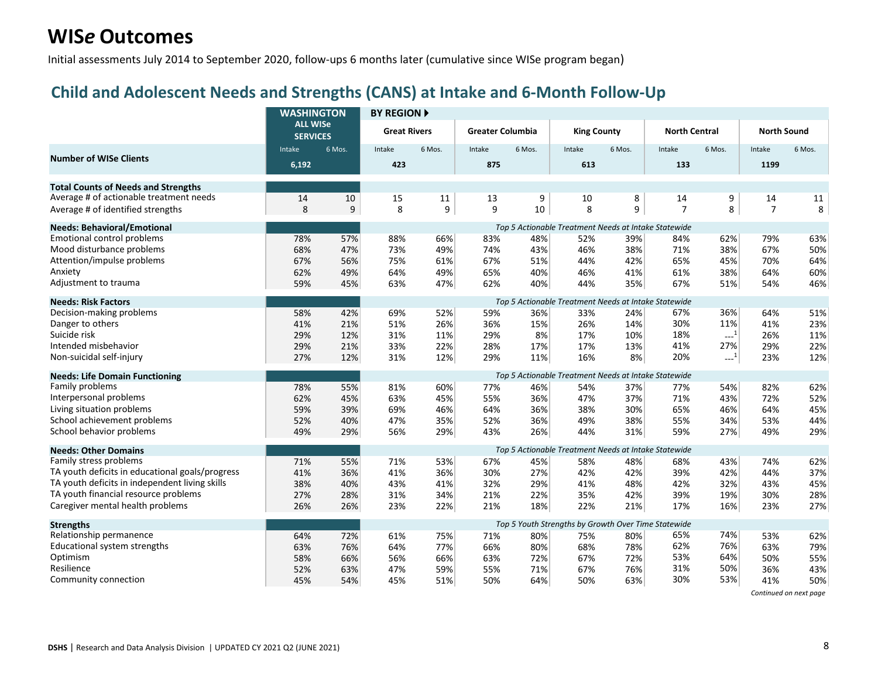Initial assessments July 2014 to September 2020, follow-ups 6 months later (cumulative since WISe program began)

#### **Child and Adolescent Needs and Strengths (CANS) at Intake and 6-Month Follow-Up**

|                                                 | <b>WASHINGTON</b>                  |        | <b>BY REGION A</b>  |        |                         |        |                                                      |        |                      |                     |                    |        |
|-------------------------------------------------|------------------------------------|--------|---------------------|--------|-------------------------|--------|------------------------------------------------------|--------|----------------------|---------------------|--------------------|--------|
|                                                 | <b>ALL WISe</b><br><b>SERVICES</b> |        | <b>Great Rivers</b> |        | <b>Greater Columbia</b> |        | <b>King County</b>                                   |        | <b>North Central</b> |                     | <b>North Sound</b> |        |
|                                                 | Intake                             | 6 Mos. | Intake              | 6 Mos. | Intake                  | 6 Mos. | Intake                                               | 6 Mos. | Intake               | 6 Mos.              | Intake             | 6 Mos. |
| <b>Number of WISe Clients</b>                   | 6,192                              |        | 423                 |        | 875                     |        | 613                                                  |        | 133                  |                     | 1199               |        |
| <b>Total Counts of Needs and Strengths</b>      |                                    |        |                     |        |                         |        |                                                      |        |                      |                     |                    |        |
| Average # of actionable treatment needs         | 14                                 | 10     | 15                  | 11     | 13                      | 9      | 10                                                   | 8      | 14                   | 9                   | 14                 | 11     |
| Average # of identified strengths               | 8                                  | 9      | 8                   | 9      | 9                       | 10     | 8                                                    | 9      | $\overline{7}$       | 8                   | $\overline{7}$     | 8      |
| <b>Needs: Behavioral/Emotional</b>              |                                    |        |                     |        |                         |        | Top 5 Actionable Treatment Needs at Intake Statewide |        |                      |                     |                    |        |
| <b>Emotional control problems</b>               | 78%                                | 57%    | 88%                 | 66%    | 83%                     | 48%    | 52%                                                  | 39%    | 84%                  | 62%                 | 79%                | 63%    |
| Mood disturbance problems                       | 68%                                | 47%    | 73%                 | 49%    | 74%                     | 43%    | 46%                                                  | 38%    | 71%                  | 38%                 | 67%                | 50%    |
| Attention/impulse problems                      | 67%                                | 56%    | 75%                 | 61%    | 67%                     | 51%    | 44%                                                  | 42%    | 65%                  | 45%                 | 70%                | 64%    |
| Anxiety                                         | 62%                                | 49%    | 64%                 | 49%    | 65%                     | 40%    | 46%                                                  | 41%    | 61%                  | 38%                 | 64%                | 60%    |
| Adjustment to trauma                            | 59%                                | 45%    | 63%                 | 47%    | 62%                     | 40%    | 44%                                                  | 35%    | 67%                  | 51%                 | 54%                | 46%    |
| <b>Needs: Risk Factors</b>                      |                                    |        |                     |        |                         |        | Top 5 Actionable Treatment Needs at Intake Statewide |        |                      |                     |                    |        |
| Decision-making problems                        | 58%                                | 42%    | 69%                 | 52%    | 59%                     | 36%    | 33%                                                  | 24%    | 67%                  | 36%                 | 64%                | 51%    |
| Danger to others                                | 41%                                | 21%    | 51%                 | 26%    | 36%                     | 15%    | 26%                                                  | 14%    | 30%                  | 11%                 | 41%                | 23%    |
| Suicide risk                                    | 29%                                | 12%    | 31%                 | 11%    | 29%                     | 8%     | 17%                                                  | 10%    | 18%                  | $\sim$ <sup>1</sup> | 26%                | 11%    |
| Intended misbehavior                            | 29%                                | 21%    | 33%                 | 22%    | 28%                     | 17%    | 17%                                                  | 13%    | 41%                  | 27%                 | 29%                | 22%    |
| Non-suicidal self-injury                        | 27%                                | 12%    | 31%                 | 12%    | 29%                     | 11%    | 16%                                                  | 8%     | 20%                  | $\sim$ <sup>1</sup> | 23%                | 12%    |
| <b>Needs: Life Domain Functioning</b>           |                                    |        |                     |        |                         |        | Top 5 Actionable Treatment Needs at Intake Statewide |        |                      |                     |                    |        |
| Family problems                                 | 78%                                | 55%    | 81%                 | 60%    | 77%                     | 46%    | 54%                                                  | 37%    | 77%                  | 54%                 | 82%                | 62%    |
| Interpersonal problems                          | 62%                                | 45%    | 63%                 | 45%    | 55%                     | 36%    | 47%                                                  | 37%    | 71%                  | 43%                 | 72%                | 52%    |
| Living situation problems                       | 59%                                | 39%    | 69%                 | 46%    | 64%                     | 36%    | 38%                                                  | 30%    | 65%                  | 46%                 | 64%                | 45%    |
| School achievement problems                     | 52%                                | 40%    | 47%                 | 35%    | 52%                     | 36%    | 49%                                                  | 38%    | 55%                  | 34%                 | 53%                | 44%    |
| School behavior problems                        | 49%                                | 29%    | 56%                 | 29%    | 43%                     | 26%    | 44%                                                  | 31%    | 59%                  | 27%                 | 49%                | 29%    |
| <b>Needs: Other Domains</b>                     |                                    |        |                     |        |                         |        | Top 5 Actionable Treatment Needs at Intake Statewide |        |                      |                     |                    |        |
| Family stress problems                          | 71%                                | 55%    | 71%                 | 53%    | 67%                     | 45%    | 58%                                                  | 48%    | 68%                  | 43%                 | 74%                | 62%    |
| TA youth deficits in educational goals/progress | 41%                                | 36%    | 41%                 | 36%    | 30%                     | 27%    | 42%                                                  | 42%    | 39%                  | 42%                 | 44%                | 37%    |
| TA youth deficits in independent living skills  | 38%                                | 40%    | 43%                 | 41%    | 32%                     | 29%    | 41%                                                  | 48%    | 42%                  | 32%                 | 43%                | 45%    |
| TA youth financial resource problems            | 27%                                | 28%    | 31%                 | 34%    | 21%                     | 22%    | 35%                                                  | 42%    | 39%                  | 19%                 | 30%                | 28%    |
| Caregiver mental health problems                | 26%                                | 26%    | 23%                 | 22%    | 21%                     | 18%    | 22%                                                  | 21%    | 17%                  | 16%                 | 23%                | 27%    |
| <b>Strengths</b>                                |                                    |        |                     |        |                         |        | Top 5 Youth Strengths by Growth Over Time Statewide  |        |                      |                     |                    |        |
| Relationship permanence                         | 64%                                | 72%    | 61%                 | 75%    | 71%                     | 80%    | 75%                                                  | 80%    | 65%                  | 74%                 | 53%                | 62%    |
| Educational system strengths                    | 63%                                | 76%    | 64%                 | 77%    | 66%                     | 80%    | 68%                                                  | 78%    | 62%                  | 76%                 | 63%                | 79%    |
| Optimism                                        | 58%                                | 66%    | 56%                 | 66%    | 63%                     | 72%    | 67%                                                  | 72%    | 53%                  | 64%                 | 50%                | 55%    |
| Resilience                                      | 52%                                | 63%    | 47%                 | 59%    | 55%                     | 71%    | 67%                                                  | 76%    | 31%                  | 50%                 | 36%                | 43%    |
| Community connection                            | 45%                                | 54%    | 45%                 | 51%    | 50%                     | 64%    | 50%                                                  | 63%    | 30%                  | 53%                 | 41%                | 50%    |

*Continued on next page*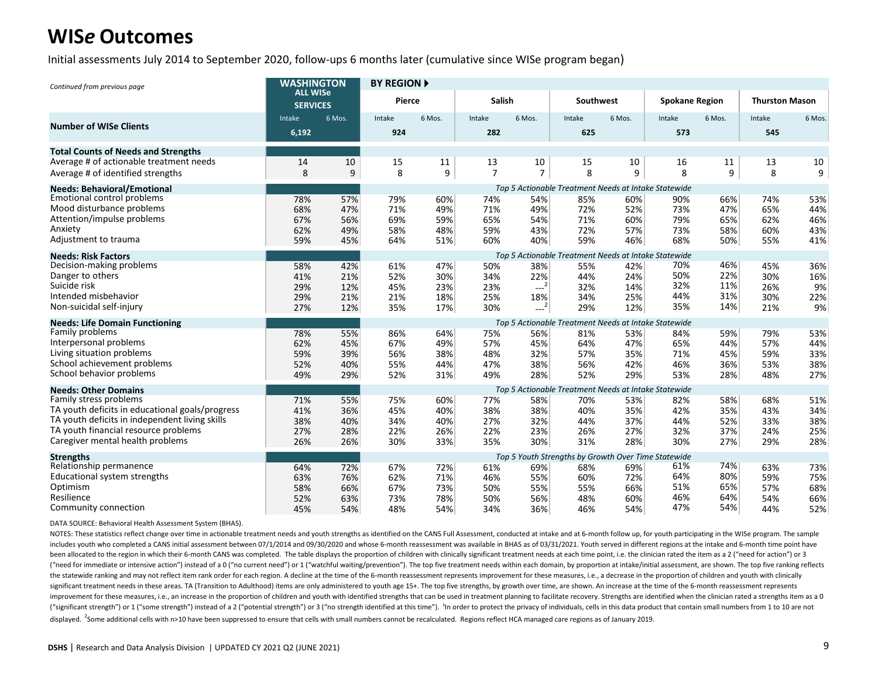Initial assessments July 2014 to September 2020, follow-ups 6 months later (cumulative since WISe program began)

| Continued from previous page                                                           | <b>WASHINGTON</b>                  |            | <b>BY REGION A</b> |            |                |                |                                                      |            |                       |            |                       |            |
|----------------------------------------------------------------------------------------|------------------------------------|------------|--------------------|------------|----------------|----------------|------------------------------------------------------|------------|-----------------------|------------|-----------------------|------------|
|                                                                                        | <b>ALL WISe</b><br><b>SERVICES</b> |            | Pierce             |            | <b>Salish</b>  |                | Southwest                                            |            | <b>Spokane Region</b> |            | <b>Thurston Mason</b> |            |
| <b>Number of WISe Clients</b>                                                          | Intake<br>6,192                    | 6 Mos.     | Intake<br>924      | 6 Mos.     | Intake<br>282  | 6 Mos.         | Intake<br>625                                        | 6 Mos.     | Intake<br>573         | 6 Mos.     | Intake<br>545         | 6 Mos.     |
| <b>Total Counts of Needs and Strengths</b>                                             |                                    |            |                    |            |                |                |                                                      |            |                       |            |                       |            |
| Average # of actionable treatment needs                                                | 14                                 | 10         | 15                 | 11         | 13             | 10             | 15                                                   | 10         | 16                    | 11         | 13                    | 10         |
| Average # of identified strengths                                                      | 8                                  | 9          | 8                  | 9          | $\overline{7}$ | $\overline{7}$ | 8                                                    | 9          | 8                     | 9          | 8                     | 9          |
| <b>Needs: Behavioral/Emotional</b>                                                     |                                    |            |                    |            |                |                | Top 5 Actionable Treatment Needs at Intake Statewide |            |                       |            |                       |            |
| <b>Emotional control problems</b>                                                      | 78%                                | 57%        | 79%                | 60%        | 74%            | 54%            | 85%                                                  | 60%        | 90%                   | 66%        | 74%                   | 53%        |
| Mood disturbance problems                                                              | 68%                                | 47%        | 71%                | 49%        | 71%            | 49%            | 72%                                                  | 52%        | 73%                   | 47%        | 65%                   | 44%        |
| Attention/impulse problems                                                             | 67%                                | 56%        | 69%                | 59%        | 65%            | 54%            | 71%                                                  | 60%        | 79%                   | 65%        | 62%                   | 46%        |
| Anxiety                                                                                | 62%                                | 49%        | 58%                | 48%        | 59%            | 43%            | 72%                                                  | 57%        | 73%                   | 58%        | 60%                   | 43%        |
| Adjustment to trauma                                                                   | 59%                                | 45%        | 64%                | 51%        | 60%            | 40%            | 59%                                                  | 46%        | 68%                   | 50%        | 55%                   | 41%        |
| <b>Needs: Risk Factors</b>                                                             |                                    |            |                    |            |                |                | Top 5 Actionable Treatment Needs at Intake Statewide |            |                       |            |                       |            |
| Decision-making problems                                                               | 58%                                | 42%        | 61%                | 47%        | 50%            | 38%            | 55%                                                  | 42%        | 70%                   | 46%        | 45%                   | 36%        |
| Danger to others                                                                       | 41%                                | 21%        | 52%                | 30%        | 34%            | 22%            | 44%                                                  | 24%        | 50%                   | 22%        | 30%                   | 16%        |
| Suicide risk<br>Intended misbehavior                                                   | 29%                                | 12%        | 45%                | 23%        | 23%            | $-2$           | 32%                                                  | 14%        | 32%<br>44%            | 11%<br>31% | 26%                   | 9%         |
| Non-suicidal self-injury                                                               | 29%                                | 21%        | 21%                | 18%        | 25%            | 18%            | 34%                                                  | 25%        | 35%                   | 14%        | 30%                   | 22%        |
|                                                                                        | 27%                                | 12%        | 35%                | 17%        | 30%            | $-2$           | 29%                                                  | 12%        |                       |            | 21%                   | 9%         |
| <b>Needs: Life Domain Functioning</b>                                                  |                                    |            |                    |            |                |                | Top 5 Actionable Treatment Needs at Intake Statewide |            |                       |            |                       |            |
| Family problems                                                                        | 78%                                | 55%        | 86%                | 64%        | 75%            | 56%            | 81%                                                  | 53%        | 84%                   | 59%        | 79%                   | 53%        |
| Interpersonal problems                                                                 | 62%                                | 45%        | 67%                | 49%        | 57%            | 45%            | 64%                                                  | 47%        | 65%                   | 44%        | 57%                   | 44%        |
| Living situation problems<br>School achievement problems                               | 59%                                | 39%        | 56%                | 38%        | 48%            | 32%            | 57%                                                  | 35%        | 71%                   | 45%        | 59%                   | 33%        |
| School behavior problems                                                               | 52%                                | 40%        | 55%                | 44%        | 47%            | 38%            | 56%                                                  | 42%        | 46%                   | 36%        | 53%                   | 38%        |
|                                                                                        | 49%                                | 29%        | 52%                | 31%        | 49%            | 28%            | 52%                                                  | 29%        | 53%                   | 28%        | 48%                   | 27%        |
| <b>Needs: Other Domains</b>                                                            |                                    |            |                    |            |                |                | Top 5 Actionable Treatment Needs at Intake Statewide |            |                       |            |                       |            |
| Family stress problems                                                                 | 71%                                | 55%        | 75%                | 60%        | 77%            | 58%            | 70%                                                  | 53%        | 82%                   | 58%        | 68%                   | 51%        |
| TA youth deficits in educational goals/progress                                        | 41%                                | 36%        | 45%                | 40%        | 38%            | 38%            | 40%                                                  | 35%        | 42%                   | 35%        | 43%                   | 34%        |
| TA youth deficits in independent living skills<br>TA youth financial resource problems | 38%                                | 40%        | 34%                | 40%        | 27%            | 32%            | 44%                                                  | 37%        | 44%                   | 52%        | 33%                   | 38%        |
| Caregiver mental health problems                                                       | 27%                                | 28%        | 22%                | 26%        | 22%            | 23%            | 26%                                                  | 27%        | 32%                   | 37%        | 24%                   | 25%        |
|                                                                                        | 26%                                | 26%        | 30%                | 33%        | 35%            | 30%            | 31%                                                  | 28%        | 30%                   | 27%        | 29%                   | 28%        |
| <b>Strengths</b>                                                                       |                                    |            |                    |            |                |                | Top 5 Youth Strengths by Growth Over Time Statewide  |            |                       |            |                       |            |
| Relationship permanence                                                                | 64%                                | 72%        | 67%                | 72%        | 61%            | 69%            | 68%                                                  | 69%        | 61%                   | 74%        | 63%                   | 73%        |
| Educational system strengths                                                           | 63%                                | 76%        | 62%                | 71%        | 46%            | 55%            | 60%                                                  | 72%        | 64%                   | 80%<br>65% | 59%                   | 75%        |
| Optimism<br>Resilience                                                                 | 58%                                | 66%        | 67%                | 73%        | 50%            | 55%            | 55%                                                  | 66%        | 51%<br>46%            | 64%        | 57%                   | 68%        |
| Community connection                                                                   | 52%<br>45%                         | 63%<br>54% | 73%<br>48%         | 78%<br>54% | 50%<br>34%     | 56%<br>36%     | 48%<br>46%                                           | 60%<br>54% | 47%                   | 54%        | 54%<br>44%            | 66%<br>52% |
|                                                                                        |                                    |            |                    |            |                |                |                                                      |            |                       |            |                       |            |

DATA SOURCE: Behavioral Health Assessment System (BHAS).

NOTES: These statistics reflect change over time in actionable treatment needs and youth strengths as identified on the CANS Full Assessment, conducted at intake and at 6-month follow up, for youth participating in the WIS includes youth who completed a CANS initial assessment between 07/1/2014 and 09/30/2020 and whose 6-month reassessment was available in BHAS as of 03/31/2021. Youth served in different regions at the intake and 6-month tim been allocated to the region in which their 6-month CANS was completed. The table displays the proportion of children with clinically significant treatment needs at each time point, i.e. the clinician rated the item as a 2 ("need for immediate or intensive action") instead of a 0 ("no current need") or 1 ("watchful waiting/prevention"). The top five treatment needs within each domain, by proportion at intake/initial assessment, are shown. Th the statewide ranking and may not reflect item rank order for each region. A decline at the time of the 6-month reassessment represents improvement for these measures, i.e., a decrease in the proportion of children and you significant treatment needs in these areas. TA (Transition to Adulthood) items are only administered to youth age 15+. The top five strengths, by growth over time, are shown. An increase at the time of the 6-month reassess improvement for these measures, i.e., an increase in the proportion of children and youth with identified strengths that can be used in treatment planning to facilitate recovery. Strengths are identified when the clinician ("significant strength") or 1 ("some strength") instead of a 2 ("potential strength") or 3 ("no strength identified at this time"). In order to protect the privacy of individuals, cells in this data product that contain sm displayed. <sup>2</sup>Some additional cells with n>10 have been suppressed to ensure that cells with small numbers cannot be recalculated. Regions reflect HCA managed care regions as of January 2019.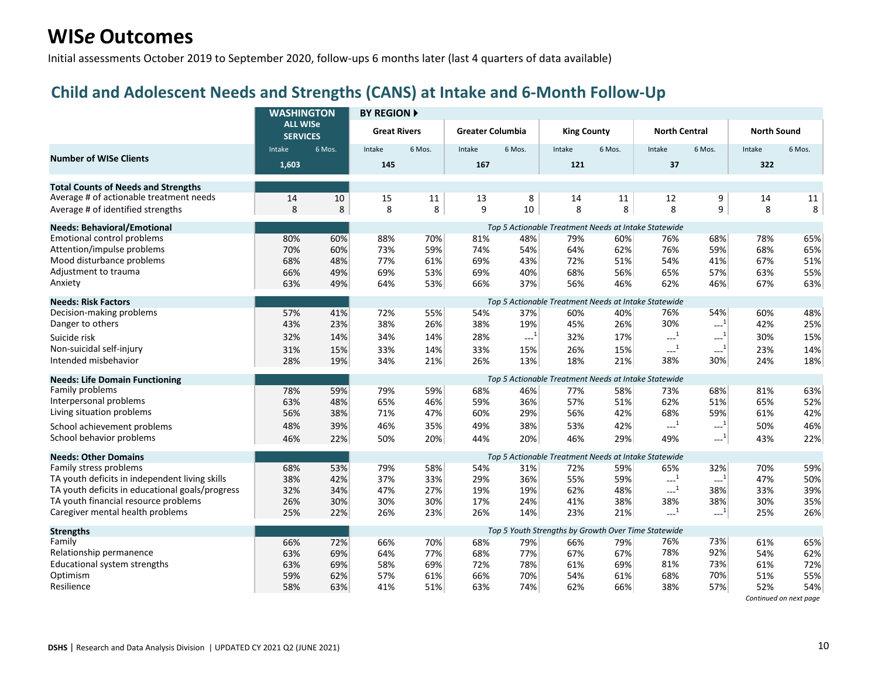Initial assessments October 2019 to September 2020, follow-ups 6 months later (last 4 quarters of data available)

#### **Child and Adolescent Needs and Strengths (CANS) at Intake and 6-Month Follow-Up**

|                                                 | <b>WASHINGTON</b>                  |        | <b>BY REGION ▶</b>  |        |                         |        |                    |        |                                                      |                                                       |                    |        |
|-------------------------------------------------|------------------------------------|--------|---------------------|--------|-------------------------|--------|--------------------|--------|------------------------------------------------------|-------------------------------------------------------|--------------------|--------|
|                                                 | <b>ALL WISe</b><br><b>SERVICES</b> |        | <b>Great Rivers</b> |        | <b>Greater Columbia</b> |        | <b>King County</b> |        | <b>North Central</b>                                 |                                                       | <b>North Sound</b> |        |
| <b>Number of WISe Clients</b>                   | Intake                             | 6 Mos. | Intake              | 6 Mos. | Intake                  | 6 Mos. | Intake             | 6 Mos. | Intake                                               | 6 Mos.                                                | Intake             | 6 Mos. |
|                                                 | 1,603                              |        | 145                 |        | 167                     |        | 121                |        | 37                                                   |                                                       | 322                |        |
| <b>Total Counts of Needs and Strengths</b>      |                                    |        |                     |        |                         |        |                    |        |                                                      |                                                       |                    |        |
| Average # of actionable treatment needs         | 14                                 | 10     | 15                  | 11     | 13                      | 8      | 14                 | 11     | 12                                                   | 9                                                     | 14                 | 11     |
| Average # of identified strengths               | 8                                  | 8      | 8                   | 8      | 9                       | 10     | 8                  | 8      | 8                                                    | 9                                                     | 8                  | 8      |
| <b>Needs: Behavioral/Emotional</b>              |                                    |        |                     |        |                         |        |                    |        | Top 5 Actionable Treatment Needs at Intake Statewide |                                                       |                    |        |
| Emotional control problems                      | 80%                                | 60%    | 88%                 | 70%    | 81%                     | 48%    | 79%                | 60%    | 76%                                                  | 68%                                                   | 78%                | 65%    |
| Attention/impulse problems                      | 70%                                | 60%    | 73%                 | 59%    | 74%                     | 54%    | 64%                | 62%    | 76%                                                  | 59%                                                   | 68%                | 65%    |
| Mood disturbance problems                       | 68%                                | 48%    | 77%                 | 61%    | 69%                     | 43%    | 72%                | 51%    | 54%                                                  | 41%                                                   | 67%                | 51%    |
| Adjustment to trauma                            | 66%                                | 49%    | 69%                 | 53%    | 69%                     | 40%    | 68%                | 56%    | 65%                                                  | 57%                                                   | 63%                | 55%    |
| Anxiety                                         | 63%                                | 49%    | 64%                 | 53%    | 66%                     | 37%    | 56%                | 46%    | 62%                                                  | 46%                                                   | 67%                | 63%    |
| <b>Needs: Risk Factors</b>                      |                                    |        |                     |        |                         |        |                    |        | Top 5 Actionable Treatment Needs at Intake Statewide |                                                       |                    |        |
| Decision-making problems                        | 57%                                | 41%    | 72%                 | 55%    | 54%                     | 37%    | 60%                | 40%    | 76%                                                  | 54%                                                   | 60%                | 48%    |
| Danger to others                                | 43%                                | 23%    | 38%                 | 26%    | 38%                     | 19%    | 45%                | 26%    | 30%                                                  | $\cdots$ <sup>1</sup>                                 | 42%                | 25%    |
| Suicide risk                                    | 32%                                | 14%    | 34%                 | 14%    | 28%                     | $-1$   | 32%                | 17%    | $\cdots$ <sup>1</sup>                                | $\mathbb{H}^{\mathbb{Z}^1}$                           | 30%                | 15%    |
| Non-suicidal self-injury                        | 31%                                | 15%    | 33%                 | 14%    | 33%                     | 15%    | 26%                | 15%    | $\sim$ <sup>1</sup>                                  | $---1$                                                | 23%                | 14%    |
| Intended misbehavior                            | 28%                                | 19%    | 34%                 | 21%    | 26%                     | 13%    | 18%                | 21%    | 38%                                                  | 30%                                                   | 24%                | 18%    |
| <b>Needs: Life Domain Functioning</b>           |                                    |        |                     |        |                         |        |                    |        | Top 5 Actionable Treatment Needs at Intake Statewide |                                                       |                    |        |
| Family problems                                 | 78%                                | 59%    | 79%                 | 59%    | 68%                     | 46%    | 77%                | 58%    | 73%                                                  | 68%                                                   | 81%                | 63%    |
| Interpersonal problems                          | 63%                                | 48%    | 65%                 | 46%    | 59%                     | 36%    | 57%                | 51%    | 62%                                                  | 51%                                                   | 65%                | 52%    |
| Living situation problems                       | 56%                                | 38%    | 71%                 | 47%    | 60%                     | 29%    | 56%                | 42%    | 68%                                                  | 59%                                                   | 61%                | 42%    |
| School achievement problems                     | 48%                                | 39%    | 46%                 | 35%    | 49%                     | 38%    | 53%                | 42%    | $\sim$ <sup>1</sup>                                  | $-1$                                                  | 50%                | 46%    |
| School behavior problems                        | 46%                                | 22%    | 50%                 | 20%    | 44%                     | 20%    | 46%                | 29%    | 49%                                                  | $\cdots$ <sup>1</sup>                                 | 43%                | 22%    |
| <b>Needs: Other Domains</b>                     |                                    |        |                     |        |                         |        |                    |        | Top 5 Actionable Treatment Needs at Intake Statewide |                                                       |                    |        |
| Family stress problems                          | 68%                                | 53%    | 79%                 | 58%    | 54%                     | 31%    | 72%                | 59%    | 65%                                                  | 32%                                                   | 70%                | 59%    |
| TA youth deficits in independent living skills  | 38%                                | 42%    | 37%                 | 33%    | 29%                     | 36%    | 55%                | 59%    | $\sim$ <sup>1</sup>                                  | $\textcolor{red}{\mathbf{L}_\text{max}}^{[1]}$        | 47%                | 50%    |
| TA youth deficits in educational goals/progress | 32%                                | 34%    | 47%                 | 27%    | 19%                     | 19%    | 62%                | 48%    | $-1$                                                 | 38%                                                   | 33%                | 39%    |
| TA youth financial resource problems            | 26%                                | 30%    | 30%                 | 30%    | 17%                     | 24%    | 41%                | 38%    | 38%                                                  | 38%                                                   | 30%                | 35%    |
| Caregiver mental health problems                | 25%                                | 22%    | 26%                 | 23%    | 26%                     | 14%    | 23%                | 21%    | $-1$                                                 | $\begin{smallmatrix} &1\\&\text{-} \end{smallmatrix}$ | 25%                | 26%    |
| <b>Strengths</b>                                |                                    |        |                     |        |                         |        |                    |        | Top 5 Youth Strengths by Growth Over Time Statewide  |                                                       |                    |        |
| Family                                          | 66%                                | 72%    | 66%                 | 70%    | 68%                     | 79%    | 66%                | 79%    | 76%                                                  | 73%                                                   | 61%                | 65%    |
| Relationship permanence                         | 63%                                | 69%    | 64%                 | 77%    | 68%                     | 77%    | 67%                | 67%    | 78%                                                  | 92%                                                   | 54%                | 62%    |
| Educational system strengths                    | 63%                                | 69%    | 58%                 | 69%    | 72%                     | 78%    | 61%                | 69%    | 81%                                                  | 73%                                                   | 61%                | 72%    |
| Optimism                                        | 59%                                | 62%    | 57%                 | 61%    | 66%                     | 70%    | 54%                | 61%    | 68%                                                  | 70%                                                   | 51%                | 55%    |
| Resilience                                      | 58%                                | 63%    | 41%                 | 51%    | 63%                     | 74%    | 62%                | 66%    | 38%                                                  | 57%                                                   | 52%                | 54%    |

*Continued on next page*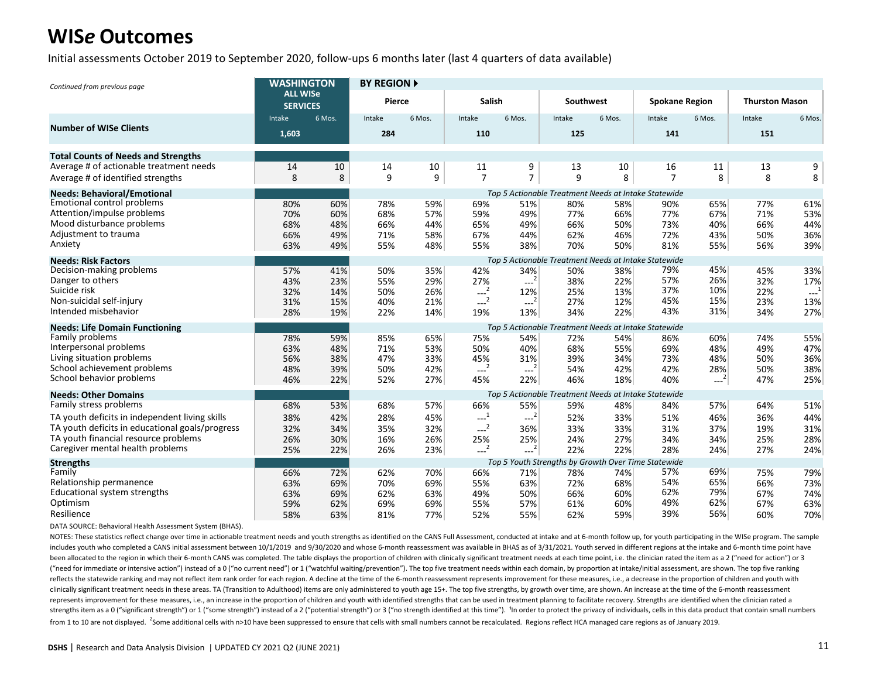Initial assessments October 2019 to September 2020, follow-ups 6 months later (last 4 quarters of data available)

| Continued from previous page                    | <b>WASHINGTON</b>                  |        | <b>BY REGION A</b> |        |                                                  |                                           |           |        |                                                      |        |                       |        |
|-------------------------------------------------|------------------------------------|--------|--------------------|--------|--------------------------------------------------|-------------------------------------------|-----------|--------|------------------------------------------------------|--------|-----------------------|--------|
|                                                 | <b>ALL WISe</b><br><b>SERVICES</b> |        | Pierce             |        | <b>Salish</b>                                    |                                           | Southwest |        | <b>Spokane Region</b>                                |        | <b>Thurston Mason</b> |        |
|                                                 | Intake                             | 6 Mos. | Intake             | 6 Mos. | Intake                                           | 6 Mos.                                    | Intake    | 6 Mos. | Intake                                               | 6 Mos. | Intake                | 6 Mos. |
| <b>Number of WISe Clients</b>                   | 1,603                              |        | 284                |        | 110                                              |                                           | 125       |        | 141                                                  |        | 151                   |        |
| <b>Total Counts of Needs and Strengths</b>      |                                    |        |                    |        |                                                  |                                           |           |        |                                                      |        |                       |        |
| Average # of actionable treatment needs         | 14                                 | 10     | 14                 | 10     | 11                                               | 9                                         | 13        | 10     | 16                                                   | 11     | 13                    | 9      |
| Average # of identified strengths               | 8                                  | 8      | 9                  | 9      | $\overline{7}$                                   | $\overline{7}$                            | 9         | 8      | 7                                                    | 8      | 8                     | 8      |
| <b>Needs: Behavioral/Emotional</b>              |                                    |        |                    |        |                                                  |                                           |           |        | Top 5 Actionable Treatment Needs at Intake Statewide |        |                       |        |
| <b>Emotional control problems</b>               | 80%                                | 60%    | 78%                | 59%    | 69%                                              | 51%                                       | 80%       | 58%    | 90%                                                  | 65%    | 77%                   | 61%    |
| Attention/impulse problems                      | 70%                                | 60%    | 68%                | 57%    | 59%                                              | 49%                                       | 77%       | 66%    | 77%                                                  | 67%    | 71%                   | 53%    |
| Mood disturbance problems                       | 68%                                | 48%    | 66%                | 44%    | 65%                                              | 49%                                       | 66%       | 50%    | 73%                                                  | 40%    | 66%                   | 44%    |
| Adjustment to trauma                            | 66%                                | 49%    | 71%                | 58%    | 67%                                              | 44%                                       | 62%       | 46%    | 72%                                                  | 43%    | 50%                   | 36%    |
| Anxiety                                         | 63%                                | 49%    | 55%                | 48%    | 55%                                              | 38%                                       | 70%       | 50%    | 81%                                                  | 55%    | 56%                   | 39%    |
| <b>Needs: Risk Factors</b>                      |                                    |        |                    |        |                                                  |                                           |           |        | Top 5 Actionable Treatment Needs at Intake Statewide |        |                       |        |
| Decision-making problems                        | 57%                                | 41%    | 50%                | 35%    | 42%                                              | 34%                                       | 50%       | 38%    | 79%                                                  | 45%    | 45%                   | 33%    |
| Danger to others                                | 43%                                | 23%    | 55%                | 29%    | 27%                                              | $-2$                                      | 38%       | 22%    | 57%                                                  | 26%    | 32%                   | 17%    |
| Suicide risk                                    | 32%                                | 14%    | 50%                | 26%    | $---2$                                           | 12%                                       | 25%       | 13%    | 37%                                                  | 10%    | 22%                   | $-1$   |
| Non-suicidal self-injury                        | 31%                                | 15%    | 40%                | 21%    | $\frac{1}{2}$                                    | $--2$                                     | 27%       | 12%    | 45%                                                  | 15%    | 23%                   | 13%    |
| Intended misbehavior                            | 28%                                | 19%    | 22%                | 14%    | 19%                                              | 13%                                       | 34%       | 22%    | 43%                                                  | 31%    | 34%                   | 27%    |
| <b>Needs: Life Domain Functioning</b>           |                                    |        |                    |        |                                                  |                                           |           |        | Top 5 Actionable Treatment Needs at Intake Statewide |        |                       |        |
| Family problems                                 | 78%                                | 59%    | 85%                | 65%    | 75%                                              | 54%                                       | 72%       | 54%    | 86%                                                  | 60%    | 74%                   | 55%    |
| Interpersonal problems                          | 63%                                | 48%    | 71%                | 53%    | 50%                                              | 40%                                       | 68%       | 55%    | 69%                                                  | 48%    | 49%                   | 47%    |
| Living situation problems                       | 56%                                | 38%    | 47%                | 33%    | 45%                                              | 31%                                       | 39%       | 34%    | 73%                                                  | 48%    | 50%                   | 36%    |
| School achievement problems                     | 48%                                | 39%    | 50%                | 42%    | $---2$                                           | $-2$                                      | 54%       | 42%    | 42%                                                  | 28%    | 50%                   | 38%    |
| School behavior problems                        | 46%                                | 22%    | 52%                | 27%    | 45%                                              | 22%                                       | 46%       | 18%    | 40%                                                  | $-2$   | 47%                   | 25%    |
| <b>Needs: Other Domains</b>                     |                                    |        |                    |        |                                                  |                                           |           |        | Top 5 Actionable Treatment Needs at Intake Statewide |        |                       |        |
| Family stress problems                          | 68%                                | 53%    | 68%                | 57%    | 66%                                              | 55%                                       | 59%       | 48%    | 84%                                                  | 57%    | 64%                   | 51%    |
| TA youth deficits in independent living skills  | 38%                                | 42%    | 28%                | 45%    | $\begin{smallmatrix} &1\\1&\\&\end{smallmatrix}$ | $-2^{1}$                                  | 52%       | 33%    | 51%                                                  | 46%    | 36%                   | 44%    |
| TA youth deficits in educational goals/progress | 32%                                | 34%    | 35%                | 32%    | $-2$                                             | 36%                                       | 33%       | 33%    | 31%                                                  | 37%    | 19%                   | 31%    |
| TA youth financial resource problems            | 26%                                | 30%    | 16%                | 26%    | 25%                                              | 25%                                       | 24%       | 27%    | 34%                                                  | 34%    | 25%                   | 28%    |
| Caregiver mental health problems                | 25%                                | 22%    | 26%                | 23%    | $-2$                                             | $\begin{smallmatrix} &2\end{smallmatrix}$ | 22%       | 22%    | 28%                                                  | 24%    | 27%                   | 24%    |
| <b>Strengths</b>                                |                                    |        |                    |        |                                                  |                                           |           |        | Top 5 Youth Strengths by Growth Over Time Statewide  |        |                       |        |
| Family                                          | 66%                                | 72%    | 62%                | 70%    | 66%                                              | 71%                                       | 78%       | 74%    | 57%                                                  | 69%    | 75%                   | 79%    |
| Relationship permanence                         | 63%                                | 69%    | 70%                | 69%    | 55%                                              | 63%                                       | 72%       | 68%    | 54%                                                  | 65%    | 66%                   | 73%    |
| Educational system strengths                    | 63%                                | 69%    | 62%                | 63%    | 49%                                              | 50%                                       | 66%       | 60%    | 62%                                                  | 79%    | 67%                   | 74%    |
| Optimism                                        | 59%                                | 62%    | 69%                | 69%    | 55%                                              | 57%                                       | 61%       | 60%    | 49%                                                  | 62%    | 67%                   | 63%    |
| Resilience                                      | 58%                                | 63%    | 81%                | 77%    | 52%                                              | 55%                                       | 62%       | 59%    | 39%                                                  | 56%    | 60%                   | 70%    |

DATA SOURCE: Behavioral Health Assessment System (BHAS).

NOTES: These statistics reflect change over time in actionable treatment needs and youth strengths as identified on the CANS Full Assessment, conducted at intake and at 6-month follow up, for youth participating in the WIS includes youth who completed a CANS initial assessment between 10/1/2019 and 9/30/2020 and whose 6-month reassessment was available in BHAS as of 3/31/2021. Youth served in different regions at the intake and 6-month time been allocated to the region in which their 6-month CANS was completed. The table displays the proportion of children with clinically significant treatment needs at each time point, i.e. the clinician rated the item as a 2 ("need for immediate or intensive action") instead of a 0 ("no current need") or 1 ("watchful waiting/prevention"). The top five treatment needs within each domain, by proportion at intake/initial assessment, are shown. Th reflects the statewide ranking and may not reflect item rank order for each region. A decline at the time of the 6-month reassessment represents improvement for these measures, i.e., a decrease in the proportion of childre clinically significant treatment needs in these areas. TA (Transition to Adulthood) items are only administered to youth age 15+. The top five strengths, by growth over time, are shown. An increase at the time of the 6-mon represents improvement for these measures, i.e., an increase in the proportion of children and youth with identified strengths that can be used in treatment planning to facilitate recovery. Strengths are identified when th strengths item as a 0 ("significant strength") or 1 ("some strength") instead of a 2 ("potential strength") or 3 ("no strength dentified at this time"). "In order to protect the privacy of individuals, cells in this data p from 1 to 10 are not displayed. <sup>2</sup>Some additional cells with n>10 have been suppressed to ensure that cells with small numbers cannot be recalculated. Regions reflect HCA managed care regions as of January 2019.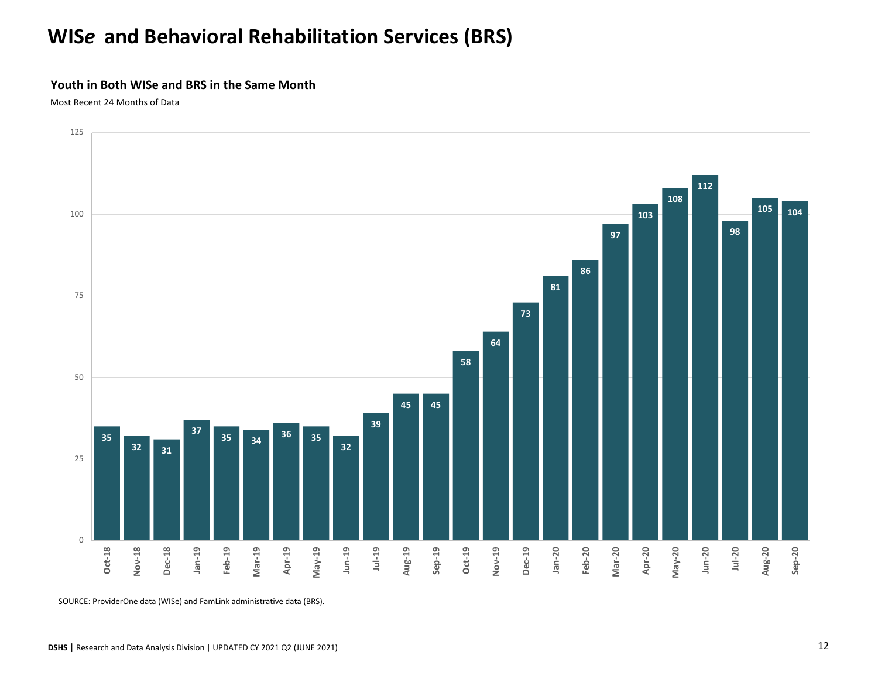# **WIS***e* **and Behavioral Rehabilitation Services (BRS)**

#### **Youth in Both WISe and BRS in the Same Month**

Most Recent 24 Months of Data



SOURCE: ProviderOne data (WISe) and FamLink administrative data (BRS).